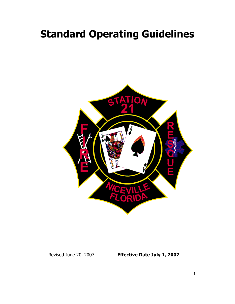# **Standard Operating Guidelines**



Revised June 20, 2007 **Effective Date July 1, 2007**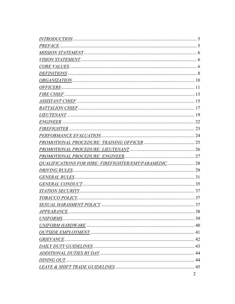| <b>QUALIFICATIONS FOR HIRE: FIREFIGHTER/EMT/PARAMEDIC 28</b> |   |
|--------------------------------------------------------------|---|
|                                                              |   |
|                                                              |   |
|                                                              |   |
|                                                              |   |
|                                                              |   |
|                                                              |   |
|                                                              |   |
|                                                              |   |
|                                                              |   |
|                                                              |   |
|                                                              |   |
|                                                              |   |
|                                                              |   |
|                                                              |   |
|                                                              |   |
|                                                              | 2 |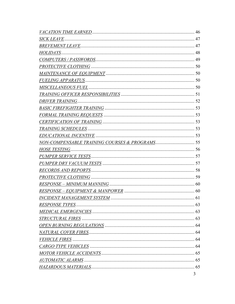|                      | 46 |
|----------------------|----|
| <u>SICK LEAVE .</u>  |    |
|                      |    |
| HOLIDAYS.            |    |
|                      |    |
|                      |    |
|                      |    |
|                      |    |
|                      |    |
|                      |    |
| DRIVER TRAINING.     |    |
|                      |    |
|                      |    |
|                      |    |
|                      |    |
|                      |    |
|                      |    |
| <i>HOSE TESTING.</i> |    |
|                      |    |
|                      |    |
|                      |    |
| PROTECTIVE CLOTHING  |    |
|                      |    |
|                      |    |
|                      |    |
|                      |    |
|                      |    |
|                      |    |
|                      |    |
|                      |    |
|                      |    |
|                      |    |
|                      |    |
|                      |    |
|                      |    |
|                      | 3  |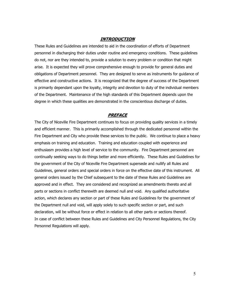#### **INTRODUCTION**

These Rules and Guidelines are intended to aid in the coordination of efforts of Department personnel in discharging their duties under routine and emergency conditions. These guidelines do not, nor are they intended to, provide a solution to every problem or condition that might arise. It is expected they will prove comprehensive enough to provide for general duties and obligations of Department personnel. They are designed to serve as instruments for guidance of effective and constructive actions. It is recognized that the degree of success of the Department is primarily dependant upon the loyalty, integrity and devotion to duty of the individual members of the Department. Maintenance of the high standards of this Department depends upon the degree in which these qualities are demonstrated in the conscientious discharge of duties.

#### **PREFACE**

The City of Niceville Fire Department continues to focus on providing quality services in a timely and efficient manner. This is primarily accomplished through the dedicated personnel within the Fire Department and City who provide these services to the public. We continue to place a heavy emphasis on training and education. Training and education coupled with experience and enthusiasm provides a high level of service to the community. Fire Department personnel are continually seeking ways to do things better and more efficiently. These Rules and Guidelines for the government of the City of Niceville Fire Department supersede and nullify all Rules and Guidelines, general orders and special orders in force on the effective date of this instrument. All general orders issued by the Chief subsequent to the date of these Rules and Guidelines are approved and in effect. They are considered and recognized as amendments thereto and all parts or sections in conflict therewith are deemed null and void. Any qualified authoritative action, which declares any section or part of these Rules and Guidelines for the government of the Department null and void, will apply solely to such specific section or part, and such declaration, will be without force or effect in relation to all other parts or sections thereof. In case of conflict between these Rules and Guidelines and City Personnel Regulations, the City Personnel Regulations will apply.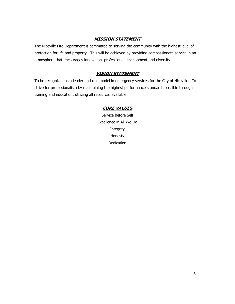#### **MISSION STATEMENT**

The Niceville Fire Department is committed to serving the community with the highest level of protection for life and property. This will be achieved by providing compassionate service in an atmosphere that encourages innovation, professional development and diversity.

#### **VISION STATEMENT**

To be recognized as a leader and role model in emergency services for the City of Niceville. To strive for professionalism by maintaining the highest performance standards possible through training and education; utilizing all resources available.

#### **CORE VALUES**

Service before Self Excellence in All We Do Integrity Honesty **Dedication**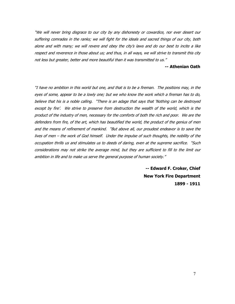"We will never bring disgrace to our city by any dishonesty or cowardice, nor ever desert our suffering comrades in the ranks; we will fight for the ideals and sacred things of our city, both alone and with many; we will revere and obey the city's laws and do our best to incite a like respect and reverence in those about us; and thus, in all ways, we will strive to transmit this city not less but greater, better and more beautiful than it was transmitted to us."

#### **-- Athenian Oath**

"I have no ambition in this world but one, and that is to be a fireman. The positions may, in the eyes of some, appear to be a lowly one; but we who know the work which a fireman has to do, believe that his is a noble calling. "There is an adage that says that 'Nothing can be destroyed except by fire'. We strive to preserve from destruction the wealth of the world, which is the product of the industry of men, necessary for the comforts of both the rich and poor. We are the defenders from fire, of the art, which has beautified the world, the product of the genius of men and the means of refinement of mankind. "But above all, our proudest endeavor is to save the lives of men – the work of God himself. Under the impulse of such thoughts, the nobility of the occupation thrills us and stimulates us to deeds of daring, even at the supreme sacrifice. "Such considerations may not strike the average mind, but they are sufficient to fill to the limit our ambition in life and to make us serve the general purpose of human society."

> **-- Edward F. Croker, Chief New York Fire Department 1899 - 1911**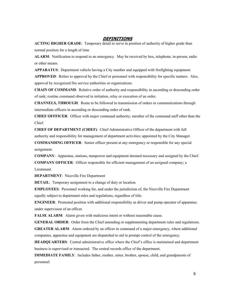#### **DEFINITIONS**

**ACTING HIGHER GRADE**: Temporary detail to serve in position of authority of higher grade than normal position for a length of time

**ALARM**: Notification to respond to an emergency. May be received by box, telephone, in-person, radio or other means.

**APPARATUS**: Department vehicle having a City number and equipped with firefighting equipment.

**APPROVED**: Refers to approval by the Chief or personnel with responsibility for specific matters. Also, approval by recognized fire service authorities or organizations.

**CHAIN OF COMMAND**: Relative order of authority and responsibility in ascending or descending order of rank; routine command observed in initiation, relay or execution of an order.

**CHANNELS, THROUGH**: Route to be followed in transmission of orders or communications through intermediate officers in ascending or descending order of rank.

**CHIEF OFFFICER**: Officer with major command authority; member of the command staff other than the Chief.

**CHIEF OF DEPARTMENT (CHIEF)**: Chief Administrative Officer of the department with full authority and responsibility for management of department activities; appointed by the City Manager.

**COMMANDING OFFICER**: Senior officer present at any emergency or responsible for any special assignment.

**COMPANY**: Apparatus, stations, manpower and equipment deemed necessary and assigned by the Chief.

**COMPANY OFFICER**: Officer responsible for efficient management of an assigned company; a Lieutenant.

**DEPARTMENT**: Niceville Fire Department

**DETAIL:** Temporary assignment to a change of duty or location.

**EMPLOYEES**: Personnel working for, and under the jurisdiction of, the Niceville Fire Department equally subject to department rules and regulations, regardless of title.

**ENGINEER**: Promoted position with additional responsibility as driver and pump operator of apparatus; under supervision of an officer.

FALSE ALARM: Alarm given with malicious intent or without reasonable cause.

**GENERAL ORDER**: Order from the Chief amending or supplementing department rules and regulations. **GREATER ALARM:** Alarm ordered by an officer in command of a major emergency, where additional companies, apparatus and equipment are dispatched to aid in prompt control of the emergency.

**HEADQUARTERS**: Central administrative office where the Chief's office is maintained and department business is supervised or transacted. The central records office of the department.

**IMMEDIATE FAMILY**: Includes father, mother, sister, brother, spouse, child, and grandparents of personnel.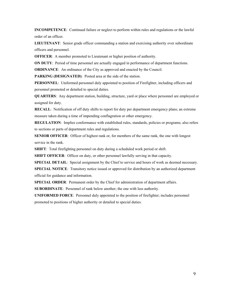**INCOMPETENCE**: Continued failure or neglect to perform within rules and regulations or the lawful order of an officer.

**LIEUTENANT**: Senior grade officer commanding a station and exercising authority over subordinate officers and personnel.

**OFFICER:** A member promoted to Lieutenant or higher position of authority.

**ON DUTY**: Period of time personnel are actually engaged in performance of department functions.

**ORDINANCE:** An ordinance of the City as approved and enacted by the Council.

**PARKING (DESIGNATED)**: Posted area at the side of the station.

**PERSONNEL**: Uniformed personnel duly appointed to position of Firefighter, including officers and personnel promoted or detailed to special duties.

**QUARTERS**: Any department station, building, structure, yard or place where personnel are employed or assigned for duty.

**RECALL**: Notification of off duty shifts to report for duty per department emergency plans; an extreme measure taken during a time of impending conflagration or other emergency.

**REGULATION**: Implies conformance with established rules, standards, policies or programs; also refers to sections or parts of department rules and regulations.

**SENIOR OFFICER**: Officer of highest rank or, for members of the same rank, the one with longest service in the rank.

**SHIFT**: Total firefighting personnel on duty during a scheduled work period or shift.

**SHIFT OFFICER**: Officer on duty, or other personnel lawfully serving in that capacity.

**SPECIAL DETAIL**: Special assignment by the Chief to service and hours of work as deemed necessary.

**SPECIAL NOTICE**: Transitory notice issued or approved for distribution by an authorized department official for guidance and information.

**SPECIAL ORDER**: Permanent order by the Chief for administration of department affairs.

**SUBORDINATE**: Personnel of rank below another; the one with less authority.

**UNIFORMED FORCE**: Personnel duly appointed to the position of firefighter; includes personnel promoted to positions of higher authority or detailed to special duties.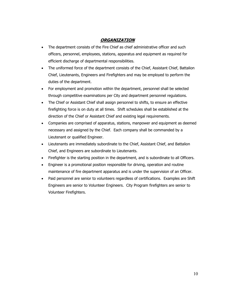## **ORGANIZATION**

- The department consists of the Fire Chief as chief administrative officer and such officers, personnel, employees, stations, apparatus and equipment as required for efficient discharge of departmental responsibilities.
- The uniformed force of the department consists of the Chief, Assistant Chief, Battalion Chief, Lieutenants, Engineers and Firefighters and may be employed to perform the duties of the department.
- For employment and promotion within the department, personnel shall be selected through competitive examinations per City and department personnel regulations.
- The Chief or Assistant Chief shall assign personnel to shifts, to ensure an effective firefighting force is on duty at all times. Shift schedules shall be established at the direction of the Chief or Assistant Chief and existing legal requirements.
- Companies are comprised of apparatus, stations, manpower and equipment as deemed necessary and assigned by the Chief. Each company shall be commanded by a Lieutenant or qualified Engineer.
- Lieutenants are immediately subordinate to the Chief, Assistant Chief, and Battalion Chief, and Engineers are subordinate to Lieutenants.
- Firefighter is the starting position in the department, and is subordinate to all Officers.
- Engineer is a promotional position responsible for driving, operation and routine maintenance of fire department apparatus and is under the supervision of an Officer.
- Paid personnel are senior to volunteers regardless of certifications. Examples are Shift Engineers are senior to Volunteer Engineers. City Program firefighters are senior to Volunteer Firefighters.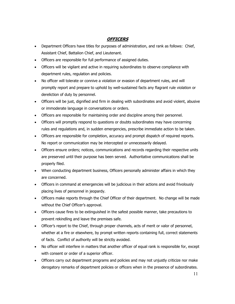# **OFFICERS**

- Department Officers have titles for purposes of administration, and rank as follows: Chief, Assistant Chief, Battalion Chief, and Lieutenant.
- Officers are responsible for full performance of assigned duties.
- Officers will be vigilant and active in requiring subordinates to observe compliance with department rules, regulation and policies.
- No officer will tolerate or connive a violation or evasion of department rules, and will promptly report and prepare to uphold by well-sustained facts any flagrant rule violation or dereliction of duty by personnel.
- Officers will be just, dignified and firm in dealing with subordinates and avoid violent, abusive or immoderate language in conversations or orders.
- Officers are responsible for maintaining order and discipline among their personnel.
- Officers will promptly respond to questions or doubts subordinates may have concerning rules and regulations and, in sudden emergencies, prescribe immediate action to be taken.
- Officers are responsible for completion, accuracy and prompt dispatch of required reports. No report or communication may be intercepted or unnecessarily delayed.
- Officers ensure orders; notices, communications and records regarding their respective units are preserved until their purpose has been served. Authoritative communications shall be properly filed.
- When conducting department business, Officers personally administer affairs in which they are concerned.
- Officers in command at emergencies will be judicious in their actions and avoid frivolously placing lives of personnel in jeopardy.
- Officers make reports through the Chief Officer of their department. No change will be made without the Chief Officer's approval.
- Officers cause fires to be extinguished in the safest possible manner, take precautions to prevent rekindling and leave the premises safe.
- Officer's report to the Chief, through proper channels, acts of merit or valor of personnel, whether at a fire or elsewhere, by prompt written reports containing full, correct statements of facts. Conflict of authority will be strictly avoided.
- No officer will interfere in matters that another officer of equal rank is responsible for, except with consent or order of a superior officer.
- Officers carry out department programs and policies and may not unjustly criticize nor make derogatory remarks of department policies or officers when in the presence of subordinates.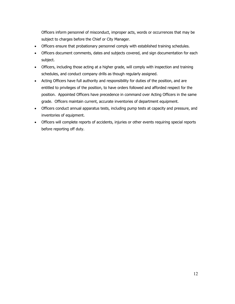Officers inform personnel of misconduct, improper acts, words or occurrences that may be subject to charges before the Chief or City Manager.

- Officers ensure that probationary personnel comply with established training schedules.
- Officers document comments, dates and subjects covered, and sign documentation for each subject.
- Officers, including those acting at a higher grade, will comply with inspection and training schedules, and conduct company drills as though regularly assigned.
- Acting Officers have full authority and responsibility for duties of the position, and are entitled to privileges of the position, to have orders followed and afforded respect for the position. Appointed Officers have precedence in command over Acting Officers in the same grade. Officers maintain current, accurate inventories of department equipment.
- Officers conduct annual apparatus tests, including pump tests at capacity and pressure, and inventories of equipment.
- Officers will complete reports of accidents, injuries or other events requiring special reports before reporting off duty.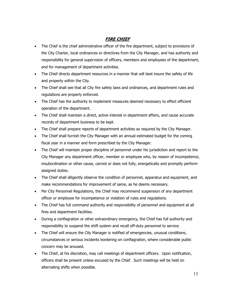# **FIRE CHIEF**

- The Chief is the chief administrative officer of the fire department, subject to provisions of the City Charter, local ordinances or directives from the City Manager, and has authority and responsibility for general supervision of officers, members and employees of the department, and for management of department activities.
- The Chief directs department resources in a manner that will best insure the safety of life and property within the City.
- The Chief shall see that all City fire safety laws and ordinances, and department rules and regulations are properly enforced.
- The Chief has the authority to implement measures deemed necessary to effect efficient operation of the department.
- The Chief shall maintain a direct, active interest in department affairs, and cause accurate records of department business to be kept.
- The Chief shall prepare reports of department activities as required by the City Manager.
- The Chief shall furnish the City Manager with an annual estimated budget for the coming fiscal year in a manner and form prescribed by the City Manager.
- The Chief will maintain proper discipline of personnel under his jurisdiction and report to the City Manager any department officer, member or employee who, by reason of incompetence, insubordination or other cause, cannot or does not fully, energetically and promptly perform assigned duties.
- The Chief shall diligently observe the condition of personnel, apparatus and equipment, and make recommendations for improvement of same, as he deems necessary.
- Per City Personnel Regulations, the Chief may recommend suspension of any department officer or employee for incompetence or violation of rules and regulations.
- The Chief has full command authority and responsibility of personnel and equipment at all fires and department facilities.
- During a conflagration or other extraordinary emergency, the Chief has full authority and responsibility to suspend the shift system and recall off-duty personnel to service.
- The Chief will ensure the City Manager is notified of emergencies, unusual conditions, circumstances or serious incidents bordering on conflagration, where considerable public concern may be aroused.
- The Chief, at his discretion, may call meetings of department officers. Upon notification, officers shall be present unless excused by the Chief. Such meetings will be held on alternating shifts when possible.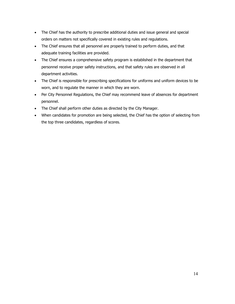- The Chief has the authority to prescribe additional duties and issue general and special orders on matters not specifically covered in existing rules and regulations.
- The Chief ensures that all personnel are properly trained to perform duties, and that adequate training facilities are provided.
- The Chief ensures a comprehensive safety program is established in the department that personnel receive proper safety instructions, and that safety rules are observed in all department activities.
- The Chief is responsible for prescribing specifications for uniforms and uniform devices to be worn, and to regulate the manner in which they are worn.
- Per City Personnel Regulations, the Chief may recommend leave of absences for department personnel.
- The Chief shall perform other duties as directed by the City Manager.
- When candidates for promotion are being selected, the Chief has the option of selecting from the top three candidates, regardless of scores.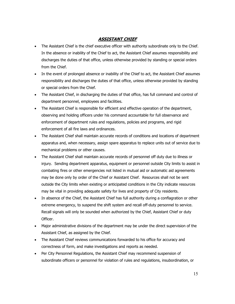#### **ASSISTANT CHIEF**

- The Assistant Chief is the chief executive officer with authority subordinate only to the Chief. In the absence or inability of the Chief to act, the Assistant Chief assumes responsibility and discharges the duties of that office, unless otherwise provided by standing or special orders from the Chief.
- In the event of prolonged absence or inability of the Chief to act, the Assistant Chief assumes responsibility and discharges the duties of that office, unless otherwise provided by standing or special orders from the Chief.
- The Assistant Chief, in discharging the duties of that office, has full command and control of department personnel, employees and facilities.
- The Assistant Chief is responsible for efficient and effective operation of the department, observing and holding officers under his command accountable for full observance and enforcement of department rules and regulations, policies and programs, and rigid enforcement of all fire laws and ordinances.
- The Assistant Chief shall maintain accurate records of conditions and locations of department apparatus and, when necessary, assign spare apparatus to replace units out of service due to mechanical problems or other causes.
- The Assistant Chief shall maintain accurate records of personnel off duty due to illness or injury. Sending department apparatus, equipment or personnel outside City limits to assist in combating fires or other emergencies not listed in mutual aid or automatic aid agreements may be done only by order of the Chief or Assistant Chief. Resources shall not be sent outside the City limits when existing or anticipated conditions in the City indicate resources may be vital in providing adequate safety for lives and property of City residents.
- In absence of the Chief, the Assistant Chief has full authority during a conflagration or other extreme emergency, to suspend the shift system and recall off-duty personnel to service. Recall signals will only be sounded when authorized by the Chief, Assistant Chief or duty Officer.
- Major administrative divisions of the department may be under the direct supervision of the Assistant Chief, as assigned by the Chief.
- The Assistant Chief reviews communications forwarded to his office for accuracy and correctness of form, and make investigations and reports as needed.
- Per City Personnel Regulations, the Assistant Chief may recommend suspension of subordinate officers or personnel for violation of rules and regulations, insubordination, or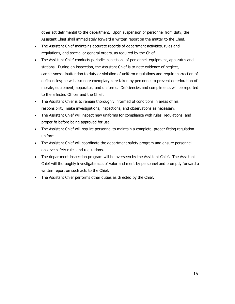other act detrimental to the department. Upon suspension of personnel from duty, the Assistant Chief shall immediately forward a written report on the matter to the Chief.

- The Assistant Chief maintains accurate records of department activities, rules and regulations, and special or general orders, as required by the Chief.
- The Assistant Chief conducts periodic inspections of personnel, equipment, apparatus and stations. During an inspection, the Assistant Chief is to note evidence of neglect, carelessness, inattention to duty or violation of uniform regulations and require correction of deficiencies; he will also note exemplary care taken by personnel to prevent deterioration of morale, equipment, apparatus, and uniforms. Deficiencies and compliments will be reported to the affected Officer and the Chief.
- The Assistant Chief is to remain thoroughly informed of conditions in areas of his responsibility, make investigations, inspections, and observations as necessary.
- The Assistant Chief will inspect new uniforms for compliance with rules, regulations, and proper fit before being approved for use.
- The Assistant Chief will require personnel to maintain a complete, proper fitting regulation uniform.
- The Assistant Chief will coordinate the department safety program and ensure personnel observe safety rules and regulations.
- The department inspection program will be overseen by the Assistant Chief. The Assistant Chief will thoroughly investigate acts of valor and merit by personnel and promptly forward a written report on such acts to the Chief.
- The Assistant Chief performs other duties as directed by the Chief.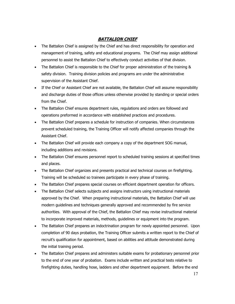#### **BATTALION CHIEF**

- The Battalion Chief is assigned by the Chief and has direct responsibility for operation and management of training, safety and educational programs. The Chief may assign additional personnel to assist the Battalion Chief to effectively conduct activities of that division.
- The Battalion Chief is responsible to the Chief for proper administration of the training & safety division. Training division policies and programs are under the administrative supervision of the Assistant Chief.
- If the Chief or Assistant Chief are not available, the Battalion Chief will assume responsibility and discharge duties of those offices unless otherwise provided by standing or special orders from the Chief.
- The Battalion Chief ensures department rules, regulations and orders are followed and operations preformed in accordance with established practices and procedures.
- The Battalion Chief prepares a schedule for instruction of companies. When circumstances prevent scheduled training, the Training Officer will notify affected companies through the Assistant Chief.
- The Battalion Chief will provide each company a copy of the department SOG manual, including additions and revisions.
- The Battalion Chief ensures personnel report to scheduled training sessions at specified times and places.
- The Battalion Chief organizes and presents practical and technical courses on firefighting. Training will be scheduled so trainees participate in every phase of training.
- The Battalion Chief prepares special courses on efficient department operation for officers.
- The Battalion Chief selects subjects and assigns instructors using instructional materials approved by the Chief. When preparing instructional materials, the Battalion Chief will use modern guidelines and techniques generally approved and recommended by fire service authorities. With approval of the Chief, the Battalion Chief may revise instructional material to incorporate improved materials, methods, guidelines or equipment into the program.
- The Battalion Chief prepares an indoctrination program for newly appointed personnel. Upon completion of 90 days probation, the Training Officer submits a written report to the Chief of recruit's qualification for appointment, based on abilities and attitude demonstrated during the initial training period.
- The Battalion Chief prepares and administers suitable exams for probationary personnel prior to the end of one year of probation. Exams include written and practical tests relative to firefighting duties, handling hose, ladders and other department equipment. Before the end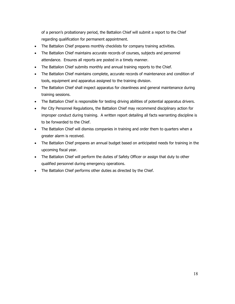of a person's probationary period, the Battalion Chief will submit a report to the Chief regarding qualification for permanent appointment.

- The Battalion Chief prepares monthly checklists for company training activities.
- The Battalion Chief maintains accurate records of courses, subjects and personnel attendance. Ensures all reports are posted in a timely manner.
- The Battalion Chief submits monthly and annual training reports to the Chief.
- The Battalion Chief maintains complete, accurate records of maintenance and condition of tools, equipment and apparatus assigned to the training division.
- The Battalion Chief shall inspect apparatus for cleanliness and general maintenance during training sessions.
- The Battalion Chief is responsible for testing driving abilities of potential apparatus drivers.
- Per City Personnel Regulations, the Battalion Chief may recommend disciplinary action for improper conduct during training. A written report detailing all facts warranting discipline is to be forwarded to the Chief.
- The Battalion Chief will dismiss companies in training and order them to quarters when a greater alarm is received.
- The Battalion Chief prepares an annual budget based on anticipated needs for training in the upcoming fiscal year.
- The Battalion Chief will perform the duties of Safety Officer or assign that duty to other qualified personnel during emergency operations.
- The Battalion Chief performs other duties as directed by the Chief.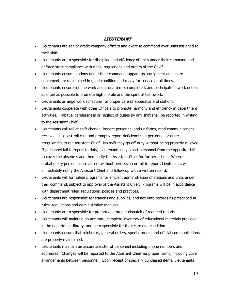### **LIEUTENANT**

- Lieutenants are senior grade company officers and exercise command over units assigned to their shift.
- Lieutenants are responsible for discipline and efficiency of units under their command and enforce strict compliance with rules, regulations and orders of the Chief.
- Lieutenants ensure stations under their command, apparatus, equipment and spare equipment are maintained in good condition and ready for service at all times.
- Lieutenants ensure routine work about quarters is completed, and participate in work details as often as possible to promote high morale and the spirit of teamwork.
- Lieutenants arrange work schedules for proper care of apparatus and stations.
- Lieutenants cooperate with other Officers to promote harmony and efficiency in department activities. Habitual carelessness or neglect of duties by any shift shall be reported in writing to the Assistant Chief.
- Lieutenants call roll at shift change, inspect personnel and uniforms, read communications received since last roll call, and promptly report deficiencies in personnel or other irregularities to the Assistant Chief. No shift may go off-duty without being properly relieved. If personnel fail to report to duty, Lieutenants may select personnel from the opposite shift to cover the absence, and then notify the Assistant Chief for further action. When probationary personnel are absent without permission or fail to report, Lieutenants will immediately notify the Assistant Chief and follow up with a written record.
- Lieutenants will formulate programs for efficient administration of stations and units under their command, subject to approval of the Assistant Chief. Programs will be in accordance with department rules, regulations, policies and practices.
- Lieutenants are responsible for stations and supplies, and accurate records as prescribed in rules, regulations and administrative manuals.
- Lieutenants are responsible for prompt and proper dispatch of required reports.
- Lieutenants will maintain an accurate, complete inventory of educational materials provided in the department library, and be responsible for their care and condition.
- Lieutenants ensure that rulebooks, general orders, special orders and official communications are properly maintained.
- Lieutenants maintain an accurate roster of personnel including phone numbers and addresses. Changes will be reported to the Assistant Chief via proper forms, including cover arrangements between personnel. Upon receipt of specially purchased items, Lieutenants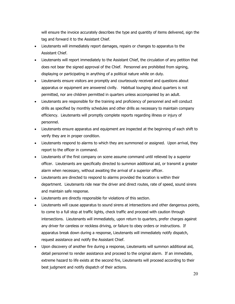will ensure the invoice accurately describes the type and quantity of items delivered, sign the tag and forward it to the Assistant Chief.

- Lieutenants will immediately report damages, repairs or changes to apparatus to the Assistant Chief.
- Lieutenants will report immediately to the Assistant Chief, the circulation of any petition that does not bear the signed approval of the Chief. Personnel are prohibited from signing, displaying or participating in anything of a political nature while on duty.
- Lieutenants ensure visitors are promptly and courteously received and questions about apparatus or equipment are answered civilly. Habitual lounging about quarters is not permitted, nor are children permitted in quarters unless accompanied by an adult.
- Lieutenants are responsible for the training and proficiency of personnel and will conduct drills as specified by monthly schedules and other drills as necessary to maintain company efficiency. Lieutenants will promptly complete reports regarding illness or injury of personnel.
- Lieutenants ensure apparatus and equipment are inspected at the beginning of each shift to verify they are in proper condition.
- Lieutenants respond to alarms to which they are summoned or assigned. Upon arrival, they report to the officer in command.
- Lieutenants of the first company on scene assume command until relieved by a superior officer. Lieutenants are specifically directed to summon additional aid, or transmit a greater alarm when necessary, without awaiting the arrival of a superior officer.
- Lieutenants are directed to respond to alarms provided the location is within their department. Lieutenants ride near the driver and direct routes, rate of speed, sound sirens and maintain safe response.
- Lieutenants are directly responsible for violations of this section.
- Lieutenants will cause apparatus to sound sirens at intersections and other dangerous points, to come to a full stop at traffic lights, check traffic and proceed with caution through intersections. Lieutenants will immediately, upon return to quarters, prefer charges against any driver for careless or reckless driving, or failure to obey orders or instructions. If apparatus break down during a response, Lieutenants will immediately notify dispatch, request assistance and notify the Assistant Chief.
- Upon discovery of another fire during a response, Lieutenants will summon additional aid, detail personnel to render assistance and proceed to the original alarm. If an immediate, extreme hazard to life exists at the second fire, Lieutenants will proceed according to their best judgment and notify dispatch of their actions.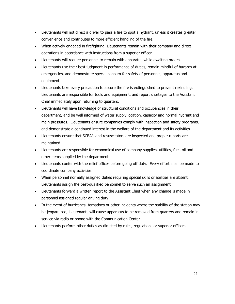- Lieutenants will not direct a driver to pass a fire to spot a hydrant, unless it creates greater convenience and contributes to more efficient handling of the fire.
- When actively engaged in firefighting, Lieutenants remain with their company and direct operations in accordance with instructions from a superior officer.
- Lieutenants will require personnel to remain with apparatus while awaiting orders.
- Lieutenants use their best judgment in performance of duties, remain mindful of hazards at emergencies, and demonstrate special concern for safety of personnel, apparatus and equipment.
- Lieutenants take every precaution to assure the fire is extinguished to prevent rekindling. Lieutenants are responsible for tools and equipment, and report shortages to the Assistant Chief immediately upon returning to quarters.
- Lieutenants will have knowledge of structural conditions and occupancies in their department, and be well informed of water supply location, capacity and normal hydrant and main pressures. Lieutenants ensure companies comply with inspection and safety programs, and demonstrate a continued interest in the welfare of the department and its activities.
- Lieutenants ensure that SCBA's and resuscitators are inspected and proper reports are maintained.
- Lieutenants are responsible for economical use of company supplies, utilities, fuel, oil and other items supplied by the department.
- Lieutenants confer with the relief officer before going off duty. Every effort shall be made to coordinate company activities.
- When personnel normally assigned duties requiring special skills or abilities are absent, Lieutenants assign the best-qualified personnel to serve such an assignment.
- Lieutenants forward a written report to the Assistant Chief when any change is made in personnel assigned regular driving duty.
- In the event of hurricanes, tornadoes or other incidents where the stability of the station may be jeopardized, Lieutenants will cause apparatus to be removed from quarters and remain inservice via radio or phone with the Communication Center.
- Lieutenants perform other duties as directed by rules, regulations or superior officers.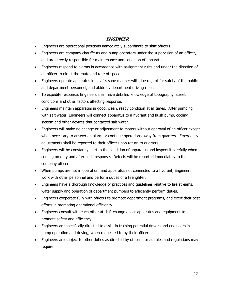# **ENGINEER**

- Engineers are operational positions immediately subordinate to shift officers.
- Engineers are company chauffeurs and pump operators under the supervision of an officer, and are directly responsible for maintenance and condition of apparatus.
- Engineers respond to alarms in accordance with assignment rules and under the direction of an officer to direct the route and rate of speed.
- Engineers operate apparatus in a safe, sane manner with due regard for safety of the public and department personnel, and abide by department driving rules.
- To expedite response, Engineers shall have detailed knowledge of topography, street conditions and other factors affecting response.
- Engineers maintain apparatus in good, clean, ready condition at all times. After pumping with salt water, Engineers will connect apparatus to a hydrant and flush pump, cooling system and other devices that contacted salt water.
- Engineers will make no change or adjustment to motors without approval of an officer except when necessary to answer an alarm or continue operations away from quarters. Emergency adjustments shall be reported to their officer upon return to quarters.
- Engineers will be constantly alert to the condition of apparatus and inspect it carefully when coming on duty and after each response. Defects will be reported immediately to the company officer.
- When pumps are not in operation, and apparatus not connected to a hydrant, Engineers work with other personnel and perform duties of a firefighter.
- Engineers have a thorough knowledge of practices and guidelines relative to fire streams, water supply and operation of department pumpers to efficiently perform duties.
- Engineers cooperate fully with officers to promote department programs, and exert their best efforts in promoting operational efficiency.
- Engineers consult with each other at shift change about apparatus and equipment to promote safety and efficiency.
- Engineers are specifically directed to assist in training potential drivers and engineers in pump operation and driving, when requested to by their officer.
- Engineers are subject to other duties as directed by officers, or as rules and regulations may require.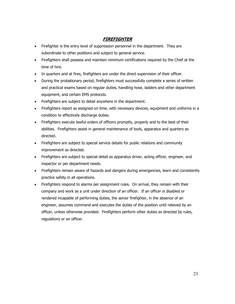# **FIREFIGHTER**

- Firefighter is the entry level of suppression personnel in the department. They are subordinate to other positions and subject to general service.
- Firefighters shall possess and maintain minimum certifications required by the Chief at the time of hire.
- In quarters and at fires, firefighters are under the direct supervision of their officer.
- During the probationary period, firefighters must successfully complete a series of written and practical exams based on regular duties, handling hose, ladders and other department equipment, and certain EMS protocols.
- Firefighters are subject to detail anywhere in the department.
- Firefighters report as assigned on time, with necessary devices, equipment and uniforms in a condition to effectively discharge duties.
- Firefighters execute lawful orders of officers promptly, properly and to the best of their abilities. Firefighters assist in general maintenance of tools, apparatus and quarters as directed.
- Firefighters are subject to special service details for public relations and community improvement as directed.
- Firefighters are subject to special detail as apparatus driver, acting officer, engineer, and inspector or per department needs.
- Firefighters remain aware of hazards and dangers during emergencies, learn and consistently practice safety in all operations.
- Firefighters respond to alarms per assignment rules. On arrival, they remain with their company and work as a unit under direction of an officer. If an officer is disabled or rendered incapable of performing duties, the senior firefighter, in the absence of an engineer, assumes command and executes the duties of the position until relieved by an officer, unless otherwise provided. Firefighters perform other duties as directed by rules, regulations or an officer.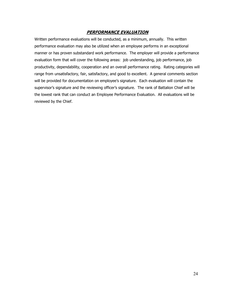#### **PERFORMANCE EVALUATION**

Written performance evaluations will be conducted, as a minimum, annually. This written performance evaluation may also be utilized when an employee performs in an exceptional manner or has proven substandard work performance. The employer will provide a performance evaluation form that will cover the following areas: job understanding, job performance, job productivity, dependability, cooperation and an overall performance rating. Rating categories will range from unsatisfactory, fair, satisfactory, and good to excellent. A general comments section will be provided for documentation on employee's signature. Each evaluation will contain the supervisor's signature and the reviewing officer's signature. The rank of Battalion Chief will be the lowest rank that can conduct an Employee Performance Evaluation. All evaluations will be reviewed by the Chief.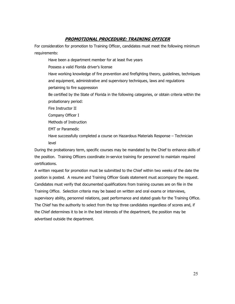#### **PROMOTIONAL PROCEDURE: TRAINING OFFICER**

For consideration for promotion to Training Officer, candidates must meet the following minimum requirements:

Have been a department member for at least five years

Possess a valid Florida driver's license

Have working knowledge of fire prevention and firefighting theory, guidelines, techniques and equipment, administrative and supervisory techniques, laws and regulations pertaining to fire suppression

Be certified by the State of Florida in the following categories, or obtain criteria within the probationary period:

Fire Instructor II

Company Officer I

Methods of Instruction

EMT or Paramedic

Have successfully completed a course on Hazardous Materials Response – Technician level

During the probationary term, specific courses may be mandated by the Chief to enhance skills of the position. Training Officers coordinate in-service training for personnel to maintain required certifications.

A written request for promotion must be submitted to the Chief within two weeks of the date the position is posted. A resume and Training Officer Goals statement must accompany the request. Candidates must verify that documented qualifications from training courses are on file in the Training Office. Selection criteria may be based on written and oral exams or interviews, supervisory ability, personnel relations, past performance and stated goals for the Training Office. The Chief has the authority to select from the top three candidates regardless of scores and, if the Chief determines it to be in the best interests of the department, the position may be advertised outside the department.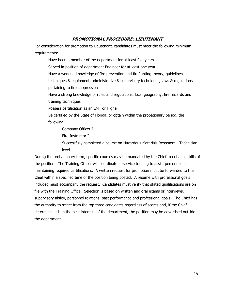#### **PROMOTIONAL PROCEDURE: LIEUTENANT**

For consideration for promotion to Lieutenant, candidates must meet the following minimum requirements:

Have been a member of the department for at least five years Served in position of department Engineer for at least one year Have a working knowledge of fire prevention and firefighting theory, guidelines, techniques & equipment, administrative & supervisory techniques, laws & regulations pertaining to fire suppression Have a strong knowledge of rules and regulations, local geography, fire hazards and training techniques Possess certification as an EMT or Higher Be certified by the State of Florida, or obtain within the probationary period, the following:

Company Officer I

Fire Instructor I

Successfully completed a course on Hazardous Materials Response – Technician level

During the probationary term, specific courses may be mandated by the Chief to enhance skills of the position. The Training Officer will coordinate in-service training to assist personnel in maintaining required certifications. A written request for promotion must be forwarded to the Chief within a specified time of the position being posted. A resume with professional goals included must accompany the request. Candidates must verify that stated qualifications are on file with the Training Office. Selection is based on written and oral exams or interviews, supervisory ability, personnel relations, past performance and professional goals. The Chief has the authority to select from the top three candidates regardless of scores and, if the Chief determines it is in the best interests of the department, the position may be advertised outside the department.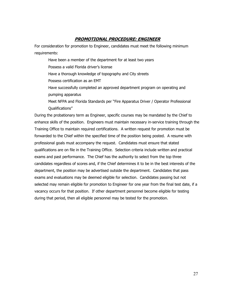#### **PROMOTIONAL PROCEDURE: ENGINEER**

For consideration for promotion to Engineer, candidates must meet the following minimum requirements:

Have been a member of the department for at least two years Possess a valid Florida driver's license Have a thorough knowledge of topography and City streets Possess certification as an EMT Have successfully completed an approved department program on operating and pumping apparatus

Meet NFPA and Florida Standards per "Fire Apparatus Driver / Operator Professional Qualifications"

During the probationary term as Engineer, specific courses may be mandated by the Chief to enhance skills of the position. Engineers must maintain necessary in-service training through the Training Office to maintain required certifications. A written request for promotion must be forwarded to the Chief within the specified time of the position being posted. A resume with professional goals must accompany the request. Candidates must ensure that stated qualifications are on file in the Training Office. Selection criteria include written and practical exams and past performance. The Chief has the authority to select from the top three candidates regardless of scores and, if the Chief determines it to be in the best interests of the department, the position may be advertised outside the department. Candidates that pass exams and evaluations may be deemed eligible for selection. Candidates passing but not selected may remain eligible for promotion to Engineer for one year from the final test date, if a vacancy occurs for that position. If other department personnel become eligible for testing during that period, then all eligible personnel may be tested for the promotion.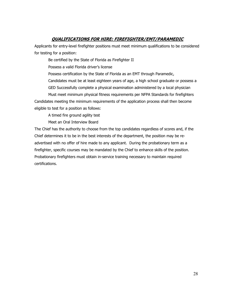## **QUALIFICATIONS FOR HIRE: FIREFIGHTER/EMT/PARAMEDIC**

Applicants for entry-level firefighter positions must meet minimum qualifications to be considered for testing for a position:

Be certified by the State of Florida as Firefighter II

Possess a valid Florida driver's license

Possess certification by the State of Florida as an EMT through Paramedic,

Candidates must be at least eighteen years of age, a high school graduate or possess a

GED Successfully complete a physical examination administered by a local physician

Must meet minimum physical fitness requirements per NFPA Standards for firefighters Candidates meeting the minimum requirements of the application process shall then become eligible to test for a position as follows:

A timed fire ground agility test

Meet an Oral Interview Board

The Chief has the authority to choose from the top candidates regardless of scores and, if the Chief determines it to be in the best interests of the department, the position may be readvertised with no offer of hire made to any applicant. During the probationary term as a firefighter, specific courses may be mandated by the Chief to enhance skills of the position. Probationary firefighters must obtain in-service training necessary to maintain required certifications.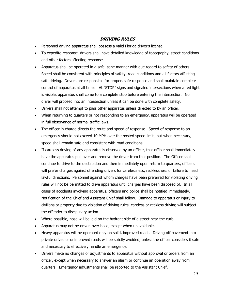## **DRIVING RULES**

- Personnel driving apparatus shall possess a valid Florida driver's license.
- To expedite response, drivers shall have detailed knowledge of topography, street conditions and other factors affecting response.
- Apparatus shall be operated in a safe, sane manner with due regard to safety of others. Speed shall be consistent with principles of safety, road conditions and all factors affecting safe driving. Drivers are responsible for proper, safe response and shall maintain complete control of apparatus at all times. At "STOP" signs and signaled intersections when a red light is visible, apparatus shall come to a complete stop before entering the intersection. No driver will proceed into an intersection unless it can be done with complete safety.
- Drivers shall not attempt to pass other apparatus unless directed to by an officer.
- When returning to quarters or not responding to an emergency, apparatus will be operated in full observance of normal traffic laws.
- The officer in charge directs the route and speed of response. Speed of response to an emergency should not exceed 10 MPH over the posted speed limits but when necessary, speed shall remain safe and consistent with road conditions.
- If careless driving of any apparatus is observed by an officer, that officer shall immediately have the apparatus pull over and remove the driver from that position. The Officer shall continue to drive to the destination and then immediately upon return to quarters, officers will prefer charges against offending drivers for carelessness, recklessness or failure to heed lawful directions. Personnel against whom charges have been preferred for violating driving rules will not be permitted to drive apparatus until charges have been disposed of. In all cases of accidents involving apparatus, officers and police shall be notified immediately. Notification of the Chief and Assistant Chief shall follow. Damage to apparatus or injury to civilians or property due to violation of driving rules, careless or reckless driving will subject the offender to disciplinary action.
- Where possible, hose will be laid on the hydrant side of a street near the curb.
- Apparatus may not be driven over hose, except when unavoidable.
- Heavy apparatus will be operated only on solid, improved roads. Driving off pavement into private drives or unimproved roads will be strictly avoided, unless the officer considers it safe and necessary to effectively handle an emergency.
- Drivers make no changes or adjustments to apparatus without approval or orders from an officer, except when necessary to answer an alarm or continue an operation away from quarters. Emergency adjustments shall be reported to the Assistant Chief.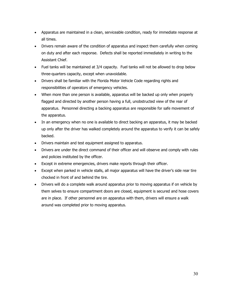- Apparatus are maintained in a clean, serviceable condition, ready for immediate response at all times.
- Drivers remain aware of the condition of apparatus and inspect them carefully when coming on duty and after each response. Defects shall be reported immediately in writing to the Assistant Chief.
- Fuel tanks will be maintained at 3/4 capacity. Fuel tanks will not be allowed to drop below three-quarters capacity, except when unavoidable.
- Drivers shall be familiar with the Florida Motor Vehicle Code regarding rights and responsibilities of operators of emergency vehicles.
- When more than one person is available, apparatus will be backed up only when properly flagged and directed by another person having a full, unobstructed view of the rear of apparatus. Personnel directing a backing apparatus are responsible for safe movement of the apparatus.
- In an emergency when no one is available to direct backing an apparatus, it may be backed up only after the driver has walked completely around the apparatus to verify it can be safely backed.
- Drivers maintain and test equipment assigned to apparatus.
- Drivers are under the direct command of their officer and will observe and comply with rules and policies instituted by the officer.
- Except in extreme emergencies, drivers make reports through their officer.
- Except when parked in vehicle stalls, all major apparatus will have the driver's side rear tire chocked in front of and behind the tire.
- Drivers will do a complete walk around apparatus prior to moving apparatus if on vehicle by them selves to ensure compartment doors are closed, equipment is secured and hose covers are in place. If other personnel are on apparatus with them, drivers will ensure a walk around was completed prior to moving apparatus.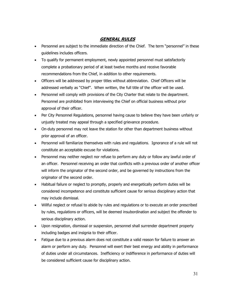## **GENERAL RULES**

- Personnel are subject to the immediate direction of the Chief. The term "personnel" in these guidelines includes officers.
- To qualify for permanent employment, newly appointed personnel must satisfactorily complete a probationary period of at least twelve months and receive favorable recommendations from the Chief, in addition to other requirements.
- Officers will be addressed by proper titles without abbreviation. Chief Officers will be addressed verbally as "Chief". When written, the full title of the officer will be used.
- Personnel will comply with provisions of the City Charter that relate to the department. Personnel are prohibited from interviewing the Chief on official business without prior approval of their officer.
- Per City Personnel Regulations, personnel having cause to believe they have been unfairly or unjustly treated may appeal through a specified grievance procedure.
- On-duty personnel may not leave the station for other than department business without prior approval of an officer.
- Personnel will familiarize themselves with rules and regulations. Ignorance of a rule will not constitute an acceptable excuse for violations.
- Personnel may neither neglect nor refuse to perform any duty or follow any lawful order of an officer. Personnel receiving an order that conflicts with a previous order of another officer will inform the originator of the second order, and be governed by instructions from the originator of the second order.
- Habitual failure or neglect to promptly, properly and energetically perform duties will be considered incompetence and constitute sufficient cause for serious disciplinary action that may include dismissal.
- Willful neglect or refusal to abide by rules and regulations or to execute an order prescribed by rules, regulations or officers, will be deemed insubordination and subject the offender to serious disciplinary action.
- Upon resignation, dismissal or suspension, personnel shall surrender department property including badges and insignia to their officer.
- Fatigue due to a previous alarm does not constitute a valid reason for failure to answer an alarm or perform any duty. Personnel will exert their best energy and ability in performance of duties under all circumstances. Inefficiency or indifference in performance of duties will be considered sufficient cause for disciplinary action.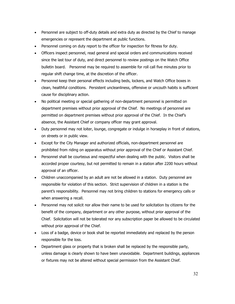- Personnel are subject to off-duty details and extra duty as directed by the Chief to manage emergencies or represent the department at public functions.
- Personnel coming on duty report to the officer for inspection for fitness for duty.
- Officers inspect personnel, read general and special orders and communications received since the last tour of duty, and direct personnel to review postings on the Watch Office bulletin board. Personnel may be required to assemble for roll call five minutes prior to regular shift change time, at the discretion of the officer.
- Personnel keep their personal effects including beds, lockers, and Watch Office boxes in clean, healthful conditions. Persistent uncleanliness, offensive or uncouth habits is sufficient cause for disciplinary action.
- No political meeting or special gathering of non-department personnel is permitted on department premises without prior approval of the Chief. No meetings of personnel are permitted on department premises without prior approval of the Chief. In the Chief's absence, the Assistant Chief or company officer may grant approval.
- Duty personnel may not loiter, lounge, congregate or indulge in horseplay in front of stations, on streets or in public view.
- Except for the City Manager and authorized officials, non-department personnel are prohibited from riding on apparatus without prior approval of the Chief or Assistant Chief.
- Personnel shall be courteous and respectful when dealing with the public. Visitors shall be accorded proper courtesy, but not permitted to remain in a station after 2200 hours without approval of an officer.
- Children unaccompanied by an adult are not be allowed in a station. Duty personnel are responsible for violation of this section. Strict supervision of children in a station is the parent's responsibility. Personnel may not bring children to stations for emergency calls or when answering a recall.
- Personnel may not solicit nor allow their name to be used for solicitation by citizens for the benefit of the company, department or any other purpose, without prior approval of the Chief. Solicitation will not be tolerated nor any subscription paper be allowed to be circulated without prior approval of the Chief.
- Loss of a badge, device or book shall be reported immediately and replaced by the person responsible for the loss.
- Department glass or property that is broken shall be replaced by the responsible party, unless damage is clearly shown to have been unavoidable. Department buildings, appliances or fixtures may not be altered without special permission from the Assistant Chief.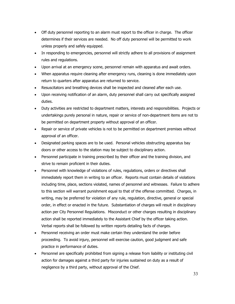- Off duty personnel reporting to an alarm must report to the officer in charge. The officer determines if their services are needed. No off duty personnel will be permitted to work unless properly and safely equipped.
- In responding to emergencies, personnel will strictly adhere to all provisions of assignment rules and regulations.
- Upon arrival at an emergency scene, personnel remain with apparatus and await orders.
- When apparatus require cleaning after emergency runs, cleaning is done immediately upon return to quarters after apparatus are returned to service.
- Resuscitators and breathing devices shall be inspected and cleaned after each use.
- Upon receiving notification of an alarm, duty personnel shall carry out specifically assigned duties.
- Duty activities are restricted to department matters, interests and responsibilities. Projects or undertakings purely personal in nature, repair or service of non-department items are not to be permitted on department property without approval of an officer.
- Repair or service of private vehicles is not to be permitted on department premises without approval of an officer.
- Designated parking spaces are to be used. Personal vehicles obstructing apparatus bay doors or other access to the station may be subject to disciplinary action.
- Personnel participate in training prescribed by their officer and the training division, and strive to remain proficient in their duties.
- Personnel with knowledge of violations of rules, regulations, orders or directives shall immediately report them in writing to an officer. Reports must contain details of violations including time, place, sections violated, names of personnel and witnesses. Failure to adhere to this section will warrant punishment equal to that of the offense committed. Charges, in writing, may be preferred for violation of any rule, regulation, directive, general or special order, in effect or enacted in the future. Substantiation of charges will result in disciplinary action per City Personnel Regulations. Misconduct or other charges resulting in disciplinary action shall be reported immediately to the Assistant Chief by the officer taking action. Verbal reports shall be followed by written reports detailing facts of charges.
- Personnel receiving an order must make certain they understand the order before proceeding. To avoid injury, personnel will exercise caution, good judgment and safe practice in performance of duties.
- Personnel are specifically prohibited from signing a release from liability or instituting civil action for damages against a third party for injuries sustained on duty as a result of negligence by a third party, without approval of the Chief.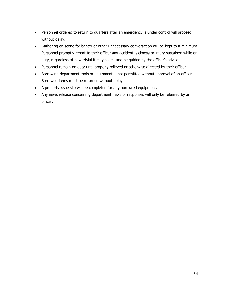- Personnel ordered to return to quarters after an emergency is under control will proceed without delay.
- Gathering on scene for banter or other unnecessary conversation will be kept to a minimum. Personnel promptly report to their officer any accident, sickness or injury sustained while on duty, regardless of how trivial it may seem, and be guided by the officer's advice.
- Personnel remain on duty until properly relieved or otherwise directed by their officer
- Borrowing department tools or equipment is not permitted without approval of an officer. Borrowed items must be returned without delay.
- A property issue slip will be completed for any borrowed equipment.
- Any news release concerning department news or responses will only be released by an officer.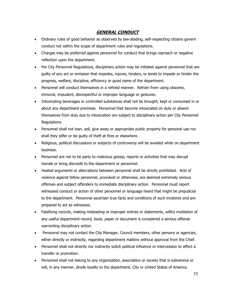#### **GENERAL CONDUCT**

- Ordinary rules of good behavior as observed by law-abiding, self-respecting citizens govern conduct not within the scope of department rules and regulations.
- Charges may be preferred against personnel for conduct that brings reproach or negative reflection upon the department.
- Per City Personnel Regulations, disciplinary action may be initiated against personnel that are guilty of any act or omission that impedes, injures, hinders, or tends to impede or hinder the progress, welfare, discipline, efficiency or good name of the department.
- Personnel will conduct themselves in a refined manner. Refrain from using obscene, immoral, impudent, disrespectful or improper language or gestures.
- Intoxicating beverages or controlled substances shall not be brought, kept or consumed in or about any department premises. Personnel that become intoxicated on duty or absent themselves from duty due to intoxication are subject to disciplinary action per City Personnel Regulations.
- Personnel shall not loan, sell, give away or appropriate public property for personal use nor shall they pilfer or be guilty of theft at fires or elsewhere.
- Religious, political discussions or subjects of controversy will be avoided while on department business.
- Personnel are not to be party to malicious gossip, reports or activities that may disrupt morale or bring discredit to the department or personnel.
- Heated arguments or altercations between personnel shall be strictly prohibited. Acts of violence against fellow personnel, provoked or otherwise, are deemed extremely serious offenses and subject offenders to immediate disciplinary action. Personnel must report witnessed conduct or action of other personnel or language heard that might be prejudicial to the department. Personnel ascertain true facts and conditions of such incidents and are prepared to act as witnesses.
- Falsifying records, making misleading or improper entries or statements, willful mutilation of any useful department record, book, paper or document is considered a serious offense warranting disciplinary action.
- Personnel may not contact the City Manager, Council members, other persons or agencies, either directly or indirectly, regarding department matters without approval from the Chief.
- Personnel shall not directly nor indirectly solicit political influence or intercession to affect a transfer or promotion.
- Personnel shall not belong to any organization, association or society that is subversive or will, in any manner, divide loyalty to the department, City or United States of America.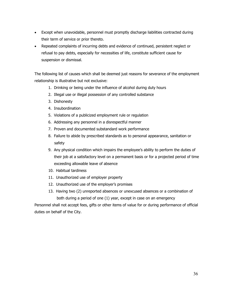- Except when unavoidable, personnel must promptly discharge liabilities contracted during their term of service or prior thereto.
- Repeated complaints of incurring debts and evidence of continued, persistent neglect or refusal to pay debts, especially for necessities of life, constitute sufficient cause for suspension or dismissal.

The following list of causes which shall be deemed just reasons for severance of the employment relationship is illustrative but not exclusive:

- 1. Drinking or being under the influence of alcohol during duty hours
- 2. Illegal use or illegal possession of any controlled substance
- 3. Dishonesty
- 4. Insubordination
- 5. Violations of a publicized employment rule or regulation
- 6. Addressing any personnel in a disrespectful manner
- 7. Proven and documented substandard work performance
- 8. Failure to abide by prescribed standards as to personal appearance, sanitation or safety
- 9. Any physical condition which impairs the employee's ability to perform the duties of their job at a satisfactory level on a permanent basis or for a projected period of time exceeding allowable leave of absence
- 10. Habitual tardiness
- 11. Unauthorized use of employer property
- 12. Unauthorized use of the employer's promises
- 13. Having two (2) unreported absences or unexcused absences or a combination of both during a period of one (1) year, except in case on an emergency

Personnel shall not accept fees, gifts or other items of value for or during performance of official duties on behalf of the City.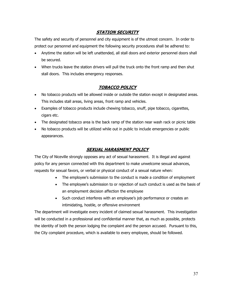# **STATION SECURITY**

The safety and security of personnel and city equipment is of the utmost concern. In order to protect our personnel and equipment the following security procedures shall be adhered to:

- Anytime the station will be left unattended, all stall doors and exterior personnel doors shall be secured.
- When trucks leave the station drivers will pull the truck onto the front ramp and then shut stall doors. This includes emergency responses.

# **TOBACCO POLICY**

- No tobacco products will be allowed inside or outside the station except in designated areas. This includes stall areas, living areas, front ramp and vehicles.
- Examples of tobacco products include chewing tobacco, snuff, pipe tobacco, cigarettes, cigars etc.
- The designated tobacco area is the back ramp of the station near wash rack or picnic table
- No tobacco products will be utilized while out in public to include emergencies or public appearances.

# **SEXUAL HARASMENT POLICY**

The City of Niceville strongly opposes any act of sexual harassment. It is illegal and against policy for any person connected with this department to make unwelcome sexual advances, requests for sexual favors, or verbal or physical conduct of a sexual nature when:

- The employee's submission to the conduct is made a condition of employment
- The employee's submission to or rejection of such conduct is used as the basis of an employment decision affection the employee
- Such conduct interferes with an employee's job performance or creates an intimidating, hostile, or offensive environment

The department will investigate every incident of claimed sexual harassment. This investigation will be conducted in a professional and confidential manner that, as much as possible, protects the identity of both the person lodging the complaint and the person accused. Pursuant to this, the City complaint procedure, which is available to every employee, should be followed.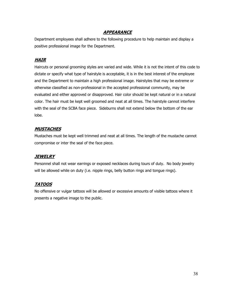# **APPEARANCE**

Department employees shall adhere to the following procedure to help maintain and display a positive professional image for the Department.

# **HAIR**

Haircuts or personal grooming styles are varied and wide. While it is not the intent of this code to dictate or specify what type of hairstyle is acceptable, it is in the best interest of the employee and the Department to maintain a high professional image. Hairstyles that may be extreme or otherwise classified as non-professional in the accepted professional community, may be evaluated and either approved or disapproved. Hair color should be kept natural or in a natural color. The hair must be kept well groomed and neat at all times. The hairstyle cannot interfere with the seal of the SCBA face piece. Sideburns shall not extend below the bottom of the ear lobe.

# **MUSTACHES**

Mustaches must be kept well trimmed and neat at all times. The length of the mustache cannot compromise or inter the seal of the face piece.

# **JEWELRY**

Personnel shall not wear earrings or exposed necklaces during tours of duty. No body jewelry will be allowed while on duty (i.e. nipple rings, belly button rings and tongue rings).

# **TATOOS**

No offensive or vulgar tattoos will be allowed or excessive amounts of visible tattoos where it presents a negative image to the public.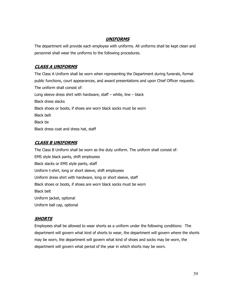## **UNIFORMS**

The department will provide each employee with uniforms. All uniforms shall be kept clean and personnel shall wear the uniforms to the following procedures.

# **CLASS A UNIFORMS**

The Class A Uniform shall be worn when representing the Department during funerals, formal public functions, court appearances, and award presentations and upon Chief Officer requests. The uniform shall consist of: Long sleeve dress shirt with hardware, staff  $-$  white, line  $-$  black Black dress slacks Black shoes or boots, if shoes are worn black socks must be worn Black belt Black tie Black dress coat and dress hat, staff

# **CLASS B UNIFORMS**

The Class B Uniform shall be worn as the duty uniform. The uniform shall consist of: EMS style black pants, shift employees Black slacks or EMS style pants, staff Uniform t-shirt, long or short sleeve, shift employees Uniform dress shirt with hardware, long or short sleeve, staff Black shoes or boots, if shoes are worn black socks must be worn Black belt Uniform jacket, optional Uniform ball cap, optional

# **SHORTS**

Employees shall be allowed to wear shorts as a uniform under the following conditions: The department will govern what kind of shorts to wear, the department will govern where the shorts may be worn, the department will govern what kind of shoes and socks may be worn, the department will govern what period of the year in which shorts may be worn.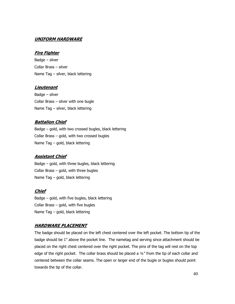#### **UNIFORM HARDWARE**

#### **Fire Fighter**

Badge – silver Collar Brass – silver Name Tag – silver, black lettering

#### **Lieutenant**

Badge – silver Collar Brass – silver with one bugle Name Tag – silver, black lettering

### **Battalion Chief**

Badge – gold, with two crossed bugles, black lettering Collar Brass – gold, with two crossed bugles Name Tag – gold, black lettering

#### **Assistant Chief**

Badge – gold, with three bugles, black lettering Collar Brass – gold, with three bugles Name Tag – gold, black lettering

#### **Chief**

Badge – gold, with five bugles, black lettering Collar Brass – gold, with five bugles Name Tag – gold, black lettering

### **HARDWARE PLACEMENT**

The badge should be placed on the left chest centered over the left pocket. The bottom tip of the badge should be 1" above the pocket line. The nametag and serving since attachment should be placed on the right chest centered over the right pocket. The pins of the tag will rest on the top edge of the right pocket. The collar brass should be placed a 1/4" from the tip of each collar and centered between the collar seams. The open or larger end of the bugle or bugles should point towards the tip of the collar.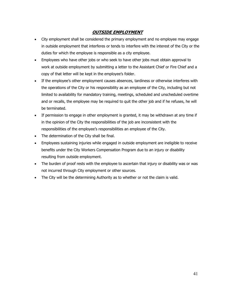# **OUTSIDE EMPLOYMENT**

- City employment shall be considered the primary employment and no employee may engage in outside employment that interferes or tends to interfere with the interest of the City or the duties for which the employee is responsible as a city employee.
- Employees who have other jobs or who seek to have other jobs must obtain approval to work at outside employment by submitting a letter to the Assistant Chief or Fire Chief and a copy of that letter will be kept in the employee's folder.
- If the employee's other employment causes absences, tardiness or otherwise interferes with the operations of the City or his responsibility as an employee of the City, including but not limited to availability for mandatory training, meetings, scheduled and unscheduled overtime and or recalls, the employee may be required to quit the other job and if he refuses, he will be terminated.
- If permission to engage in other employment is granted, it may be withdrawn at any time if in the opinion of the City the responsibilities of the job are inconsistent with the responsibilities of the employee's responsibilities an employee of the City.
- The determination of the City shall be final.
- Employees sustaining injuries while engaged in outside employment are ineligible to receive benefits under the City Workers Compensation Program due to an injury or disability resulting from outside employment.
- The burden of proof rests with the employee to ascertain that injury or disability was or was not incurred through City employment or other sources.
- The City will be the determining Authority as to whether or not the claim is valid.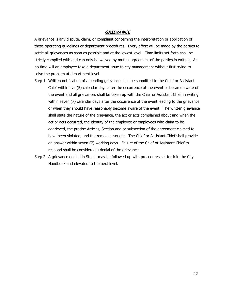#### **GRIEVANCE**

A grievance is any dispute, claim, or complaint concerning the interpretation or application of these operating guidelines or department procedures. Every effort will be made by the parties to settle all grievances as soon as possible and at the lowest level. Time limits set forth shall be strictly complied with and can only be waived by mutual agreement of the parties in writing. At no time will an employee take a department issue to city management without first trying to solve the problem at department level.

- Step 1 Written notification of a pending grievance shall be submitted to the Chief or Assistant Chief within five (5) calendar days after the occurrence of the event or became aware of the event and all grievances shall be taken up with the Chief or Assistant Chief in writing within seven (7) calendar days after the occurrence of the event leading to the grievance or when they should have reasonably become aware of the event. The written grievance shall state the nature of the grievance, the act or acts complained about and when the act or acts occurred, the identity of the employee or employees who claim to be aggrieved, the precise Articles, Section and or subsection of the agreement claimed to have been violated, and the remedies sought. The Chief or Assistant Chief shall provide an answer within seven (7) working days. Failure of the Chief or Assistant Chief to respond shall be considered a denial of the grievance.
- Step 2 A grievance denied in Step 1 may be followed up with procedures set forth in the City Handbook and elevated to the next level.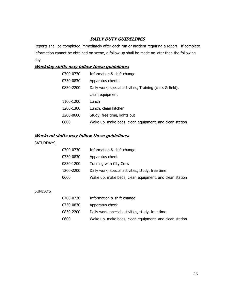# **DAILY DUTY GUIDELINES**

Reports shall be completed immediately after each run or incident requiring a report. If complete information cannot be obtained on scene, a follow up shall be made no later than the following day.

# **Weekday shifts may follow these guidelines:**

| 0700-0730 | Information & shift change                                |
|-----------|-----------------------------------------------------------|
| 0730-0830 | Apparatus checks                                          |
| 0830-2200 | Daily work, special activities, Training (class & field), |
|           | clean equipment                                           |
| 1100-1200 | Lunch                                                     |
| 1200-1300 | Lunch, clean kitchen                                      |
| 2200-0600 | Study, free time, lights out                              |
| 0600      | Wake up, make beds, clean equipment, and clean station    |

# **Weekend shifts may follow these guidelines:**

### **SATURDAYS**

| 0700-0730 | Information & shift change                             |
|-----------|--------------------------------------------------------|
| 0730-0830 | Apparatus check                                        |
| 0830-1200 | Training with City Crew                                |
| 1200-2200 | Daily work, special activities, study, free time       |
| 0600      | Wake up, make beds, clean equipment, and clean station |

#### **SUNDAYS**

| 0700-0730 | Information & shift change                             |
|-----------|--------------------------------------------------------|
| 0730-0830 | Apparatus check                                        |
| 0830-2200 | Daily work, special activities, study, free time       |
| 0600      | Wake up, make beds, clean equipment, and clean station |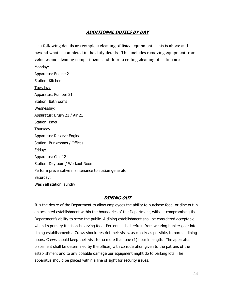# **ADDITIONAL DUTIES BY DAY**

The following details are complete cleaning of listed equipment. This is above and beyond what is completed in the daily details. This includes removing equipment from vehicles and cleaning compartments and floor to ceiling cleaning of station areas. Monday:

Apparatus: Engine 21 Station: Kitchen Tuesday: Apparatus: Pumper 21 Station: Bathrooms Wednesday: Apparatus: Brush 21 / Air 21 Station: Bays Thursday: Apparatus: Reserve Engine Station: Bunkrooms / Offices Friday: Apparatus: Chief 21 Station: Dayroom / Workout Room Perform preventative maintenance to station generator Saturday: Wash all station laundry

### **DINING OUT**

It is the desire of the Department to allow employees the ability to purchase food, or dine out in an accepted establishment within the boundaries of the Department, without compromising the Department's ability to serve the public. A dining establishment shall be considered acceptable when its primary function is serving food. Personnel shall refrain from wearing bunker gear into dining establishments. Crews should restrict their visits, as closely as possible, to normal dining hours. Crews should keep their visit to no more than one (1) hour in length. The apparatus placement shall be determined by the officer, with consideration given to the patrons of the establishment and to any possible damage our equipment might do to parking lots. The apparatus should be placed within a line of sight for security issues.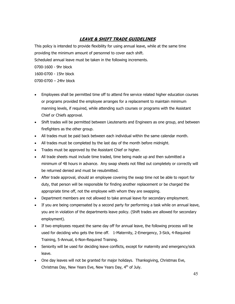# **LEAVE & SHIFT TRADE GUIDELINES**

This policy is intended to provide flexibility for using annual leave, while at the same time providing the minimum amount of personnel to cover each shift. Scheduled annual leave must be taken in the following increments. 0700-1600 - 9hr block

1600-0700 - 15hr block

0700-0700 – 24hr block

- Employees shall be permitted time off to attend fire service related higher education courses or programs provided the employee arranges for a replacement to maintain minimum manning levels, if required, while attending such courses or programs with the Assistant Chief or Chiefs approval.
- Shift trades will be permitted between Lieutenants and Engineers as one group, and between firefighters as the other group.
- All trades must be paid back between each individual within the same calendar month.
- All trades must be completed by the last day of the month before midnight.
- Trades must be approved by the Assistant Chief or higher.
- All trade sheets must include time traded, time being made up and then submitted a minimum of 48 hours in advance. Any swap sheets not filled out completely or correctly will be returned denied and must be resubmitted.
- After trade approval, should an employee covering the swap time not be able to report for duty, that person will be responsible for finding another replacement or be charged the appropriate time off, not the employee with whom they are swapping.
- Department members are not allowed to take annual leave for secondary employment.
- If you are being compensated by a second party for performing a task while on annual leave, you are in violation of the departments leave policy. (Shift trades are allowed for secondary employment).
- If two employees request the same day off for annual leave, the following process will be used for deciding who gets the time off. 1-Maternity, 2-Emergency, 3-Sick, 4-Required Training, 5-Annual, 6-Non-Required Training.
- Seniority will be used for deciding leave conflicts, except for maternity and emergency/sick leave.
- One day leaves will not be granted for major holidays. Thanksgiving, Christmas Eve, Christmas Day, New Years Eve, New Years Day, 4<sup>th</sup> of July.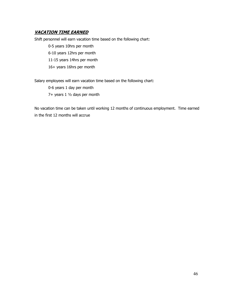# **VACATION TIME EARNED**

Shift personnel will earn vacation time based on the following chart:

 0-5 years 10hrs per month 6-10 years 12hrs per month 11-15 years 14hrs per month 16+ years 16hrs per month

Salary employees will earn vacation time based on the following chart:

 0-6 years 1 day per month 7+ years 1 ½ days per month

No vacation time can be taken until working 12 months of continuous employment. Time earned in the first 12 months will accrue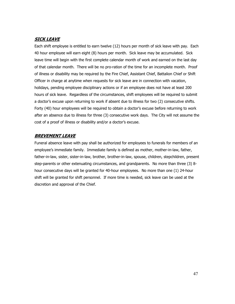# **SICK LEAVE**

Each shift employee is entitled to earn twelve (12) hours per month of sick leave with pay. Each 40 hour employee will earn eight (8) hours per month. Sick leave may be accumulated. Sick leave time will begin with the first complete calendar month of work and earned on the last day of that calendar month. There will be no pro-ration of the time for an incomplete month. Proof of illness or disability may be required by the Fire Chief, Assistant Chief, Battalion Chief or Shift Officer in charge at anytime when requests for sick leave are in connection with vacation, holidays, pending employee disciplinary actions or if an employee does not have at least 200 hours of sick leave. Regardless of the circumstances, shift employees will be required to submit a doctor's excuse upon returning to work if absent due to illness for two (2) consecutive shifts. Forty (40) hour employees will be required to obtain a doctor's excuse before returning to work after an absence due to illness for three (3) consecutive work days. The City will not assume the cost of a proof of illness or disability and/or a doctor's excuse.

# **BREVEMENT LEAVE**

Funeral absence leave with pay shall be authorized for employees to funerals for members of an employee's immediate family. Immediate family is defined as mother, mother-in-law, father, father-in-law, sister, sister-in-law, brother, brother-in-law, spouse, children, stepchildren, present step-parents or other extenuating circumstances, and grandparents. No more than three (3) 8 hour consecutive days will be granted for 40-hour employees. No more than one (1) 24-hour shift will be granted for shift personnel. If more time is needed, sick leave can be used at the discretion and approval of the Chief.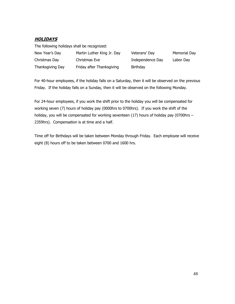# **HOLIDAYS**

The following holidays shall be recognized:

| New Year's Day   | Martin Luther King Jr. Day | Veterans' Day  |
|------------------|----------------------------|----------------|
| Christmas Day    | Christmas Eve              | Independence D |
| Thanksgiving Day | Friday after Thanksgiving  | Birthday       |

Memorial Day Pay Labor Day

For 40-hour employees, if the holiday falls on a Saturday, then it will be observed on the previous Friday. If the holiday falls on a Sunday, then it will be observed on the following Monday.

For 24-hour employees, if you work the shift prior to the holiday you will be compensated for working seven (7) hours of holiday pay (0000hrs to 0700hrs). If you work the shift of the holiday, you will be compensated for working seventeen (17) hours of holiday pay (0700hrs – 2359hrs). Compensation is at time and a half.

Time off for Birthdays will be taken between Monday through Friday. Each employee will receive eight (8) hours off to be taken between 0700 and 1600 hrs.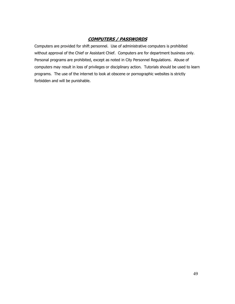# **COMPUTERS / PASSWORDS**

Computers are provided for shift personnel. Use of administrative computers is prohibited without approval of the Chief or Assistant Chief. Computers are for department business only. Personal programs are prohibited, except as noted in City Personnel Regulations. Abuse of computers may result in loss of privileges or disciplinary action. Tutorials should be used to learn programs. The use of the internet to look at obscene or pornographic websites is strictly forbidden and will be punishable.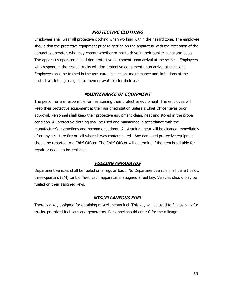### **PROTECTIVE CLOTHING**

Employees shall wear all protective clothing when working within the hazard zone. The employee should don the protective equipment prior to getting on the apparatus, with the exception of the apparatus operator, who may choose whether or not to drive in their bunker pants and boots. The apparatus operator should don protective equipment upon arrival at the scene. Employees who respond in the rescue trucks will don protective equipment upon arrival at the scene. Employees shall be trained in the use, care, inspection, maintenance and limitations of the protective clothing assigned to them or available for their use.

### **MAINTENANCE OF EQUIPMENT**

The personnel are responsible for maintaining their protective equipment. The employee will keep their protective equipment at their assigned station unless a Chief Officer gives prior approval. Personnel shall keep their protective equipment clean, neat and stored in the proper condition. All protective clothing shall be used and maintained in accordance with the manufacture's instructions and recommendations. All structural gear will be cleaned immediately after any structure fire or call where it was contaminated. Any damaged protective equipment should be reported to a Chief Officer. The Chief Officer will determine if the item is suitable for repair or needs to be replaced.

### **FUELING APPARATUS**

Department vehicles shall be fueled on a regular basis. No Department vehicle shall be left below three-quarters (3/4) tank of fuel. Each apparatus is assigned a fuel key. Vehicles should only be fueled on their assigned keys.

### **MISCELLANEOUS FUEL**

There is a key assigned for obtaining miscellaneous fuel. This key will be used to fill gas cans for trucks, premixed fuel cans and generators. Personnel should enter 0 for the mileage.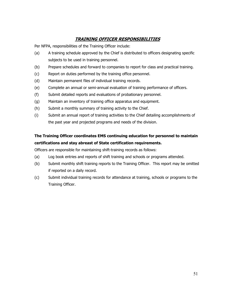# **TRAINING OFFICER RESPONSIBILITIES**

Per NFPA, responsibilities of the Training Officer include:

- (a) A training schedule approved by the Chief is distributed to officers designating specific subjects to be used in training personnel.
- (b) Prepare schedules and forward to companies to report for class and practical training.
- (c) Report on duties performed by the training office personnel.
- (d) Maintain permanent files of individual training records.
- (e) Complete an annual or semi-annual evaluation of training performance of officers.
- (f) Submit detailed reports and evaluations of probationary personnel.
- (g) Maintain an inventory of training office apparatus and equipment.
- (h) Submit a monthly summary of training activity to the Chief.
- (i) Submit an annual report of training activities to the Chief detailing accomplishments of the past year and projected programs and needs of the division.

# **The Training Officer coordinates EMS continuing education for personnel to maintain certifications and stay abreast of State certification requirements.**

Officers are responsible for maintaining shift-training records as follows:

- (a) Log book entries and reports of shift training and schools or programs attended.
- (b) Submit monthly shift training reports to the Training Officer. This report may be omitted if reported on a daily record.
- (c) Submit individual training records for attendance at training, schools or programs to the Training Officer.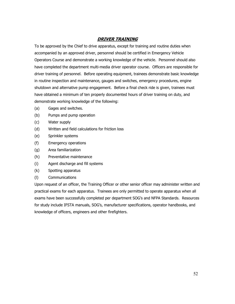## **DRIVER TRAINING**

To be approved by the Chief to drive apparatus, except for training and routine duties when accompanied by an approved driver, personnel should be certified in Emergency Vehicle Operators Course and demonstrate a working knowledge of the vehicle. Personnel should also have completed the department multi-media driver operator course. Officers are responsible for driver training of personnel. Before operating equipment, trainees demonstrate basic knowledge in routine inspection and maintenance, gauges and switches, emergency procedures, engine shutdown and alternative pump engagement. Before a final check ride is given, trainees must have obtained a minimum of ten properly documented hours of driver training on duty, and demonstrate working knowledge of the following:

- (a) Gages and switches.
- (b) Pumps and pump operation
- (c) Water supply
- (d) Written and field calculations for friction loss
- (e) Sprinkler systems
- (f) Emergency operations
- (g) Area familiarization
- (h) Preventative maintenance
- (i) Agent discharge and fill systems
- (k) Spotting apparatus
- (l) Communications

Upon request of an officer, the Training Officer or other senior officer may administer written and practical exams for each apparatus. Trainees are only permitted to operate apparatus when all exams have been successfully completed per department SOG's and NFPA Standards. Resources for study include IFSTA manuals, SOG's, manufacturer specifications, operator handbooks, and knowledge of officers, engineers and other firefighters.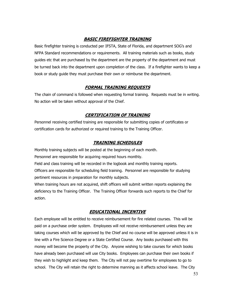# **BASIC FIREFIGHTER TRAINING**

Basic firefighter training is conducted per IFSTA, State of Florida, and department SOG's and NFPA Standard recommendations or requirements. All training materials such as books, study guides etc that are purchased by the department are the property of the department and must be turned back into the department upon completion of the class. If a firefighter wants to keep a book or study guide they must purchase their own or reimburse the department.

# **FORMAL TRAINING REQUESTS**

The chain of command is followed when requesting formal training. Requests must be in writing. No action will be taken without approval of the Chief.

# **CERTIFICATION OF TRAINING**

Personnel receiving certified training are responsible for submitting copies of certificates or certification cards for authorized or required training to the Training Officer.

### **TRAINING SCHEDULES**

Monthly training subjects will be posted at the beginning of each month. Personnel are responsible for acquiring required hours monthly.

Field and class training will be recorded in the logbook and monthly training reports.

Officers are responsible for scheduling field training. Personnel are responsible for studying pertinent resources in preparation for monthly subjects.

When training hours are not acquired, shift officers will submit written reports explaining the deficiency to the Training Officer. The Training Officer forwards such reports to the Chief for action.

# **EDUCATIONAL INCENTIVE**

Each employee will be entitled to receive reimbursement for fire related courses. This will be paid on a purchase order system. Employees will not receive reimbursement unless they are taking courses which will be approved by the Chief and no course will be approved unless it is in line with a Fire Science Degree or a State Certified Course. Any books purchased with this money will become the property of the City. Anyone wishing to take courses for which books have already been purchased will use City books. Employees can purchase their own books if they wish to highlight and keep them. The City will not pay overtime for employees to go to school. The City will retain the right to determine manning as it affects school leave. The City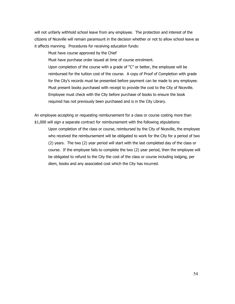will not unfairly withhold school leave from any employee. The protection and interest of the citizens of Niceville will remain paramount in the decision whether or not to allow school leave as it affects manning. Procedures for receiving education funds:

Must have course approved by the Chief

Must have purchase order issued at time of course enrolment.

Upon completion of the course with a grade of "C" or better, the employee will be reimbursed for the tuition cost of the course. A copy of Proof of Completion with grade for the City's records must be presented before payment can be made to any employee. Must present books purchased with receipt to provide the cost to the City of Niceville. Employee must check with the City before purchase of books to ensure the book required has not previously been purchased and is in the City Library.

An employee accepting or requesting reimbursement for a class or course costing more than \$1,000 will sign a separate contract for reimbursement with the following stipulations:

Upon completion of the class or course, reimbursed by the City of Niceville, the employee who received the reimbursement will be obligated to work for the City for a period of two (2) years. The two (2) year period will start with the last completed day of the class or course. If the employee fails to complete the two (2) year period, then the employee will be obligated to refund to the City the cost of the class or course including lodging, per diem, books and any associated cost which the City has incurred.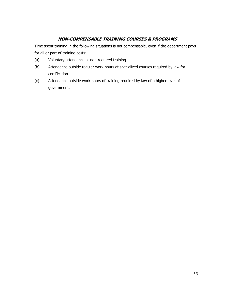# **NON-COMPENSABLE TRAINING COURSES & PROGRAMS**

Time spent training in the following situations is not compensable, even if the department pays for all or part of training costs:

- (a) Voluntary attendance at non-required training
- (b) Attendance outside regular work hours at specialized courses required by law for certification
- (c) Attendance outside work hours of training required by law of a higher level of government.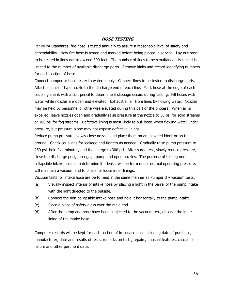#### **HOSE TESTING**

Per NFPA Standards, fire hose is tested annually to assure a reasonable level of safety and dependability. New fire hose is tested and marked before being placed in service. Lay out hose to be tested in lines not to exceed 300 feet. The number of lines to be simultaneously tested is limited to the number of available discharge ports. Remove kinks and record identifying numbers for each section of hose.

Connect pumper or hose tester to water supply. Connect lines to be tested to discharge ports. Attach a shut-off type nozzle to the discharge end of each line. Mark hose at the edge of each coupling shank with a soft pencil to determine if slippage occurs during testing. Fill hoses with water while nozzles are open and elevated. Exhaust all air from lines by flowing water. Nozzles may be held by personnel or otherwise elevated during this part of the process. When air is expelled, leave nozzles open and gradually raise pressure at the nozzle to 50 psi for solid streams or 100 psi for fog streams. Defective lining is most likely to pull loose when flowing water under pressure, but pressure alone may not expose defective linings.

Reduce pump pressure, slowly close nozzles and place them on an elevated block or on the ground. Check couplings for leakage and tighten as needed. Gradually raise pump pressure to 250 psi, hold five minutes, and then surge to 300 psi. After surge test, slowly reduce pressure, close the discharge port, disengage pump and open nozzles. The purpose of testing noncollapsible intake hose is to determine if it leaks, will perform under normal operating pressure, will maintain a vacuum and to check for loose inner linings.

Vacuum tests for intake hose are performed in the same manner as Pumper dry vacuum tests:

- (a) Visually inspect interior of intake hose by placing a light in the barrel of the pump intake with the light directed to the outside.
- (b) Connect the non-collapsible intake hose and hold it horizontally to the pump intake.
- (c) Place a piece of safety glass over the male end.
- (d) After the pump and hose have been subjected to the vacuum test, observe the inner lining of the intake hose.

Computer records will be kept for each section of in-service hose including date of purchase, manufacturer, date and results of tests, remarks on tests, repairs, unusual features, causes of failure and other pertinent data.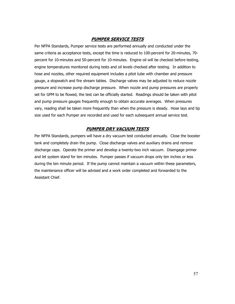### **PUMPER SERVICE TESTS**

Per NFPA Standards, Pumper service tests are performed annually and conducted under the same criteria as acceptance tests, except the time is reduced to 100-percent for 20-minutes, 70 percent for 10-minutes and 50-percent for 10-minutes. Engine oil will be checked before testing, engine temperatures monitored during tests and oil levels checked after testing. In addition to hose and nozzles, other required equipment includes a pitot tube with chamber and pressure gauge, a stopwatch and fire stream tables. Discharge valves may be adjusted to reduce nozzle pressure and increase pump discharge pressure. When nozzle and pump pressures are properly set for GPM to be flowed, the test can be officially started. Readings should be taken with pitot and pump pressure gauges frequently enough to obtain accurate averages. When pressures vary, reading shall be taken more frequently than when the pressure is steady. Hose lays and tip size used for each Pumper are recorded and used for each subsequent annual service test.

### **PUMPER DRY VACUUM TESTS**

Per NFPA Standards, pumpers will have a dry vacuum test conducted annually. Close the booster tank and completely drain the pump. Close discharge valves and auxiliary drains and remove discharge caps. Operate the primer and develop a twenty-two inch vacuum. Disengage primer and let system stand for ten minutes. Pumper passes if vacuum drops only ten inches or less during the ten minute period. If the pump cannot maintain a vacuum within these parameters, the maintenance officer will be advised and a work order completed and forwarded to the Assistant Chief.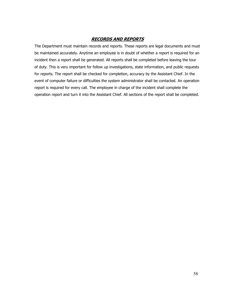## **RECORDS AND REPORTS**

The Department must maintain records and reports. These reports are legal documents and must be maintained accurately. Anytime an employee is in doubt of whether a report is required for an incident then a report shall be generated. All reports shall be completed before leaving the tour of duty. This is very important for follow up investigations, state information, and public requests for reports. The report shall be checked for completion, accuracy by the Assistant Chief. In the event of computer failure or difficulties the system administrator shall be contacted. An operation report is required for every call. The employee in charge of the incident shall complete the operation report and turn it into the Assistant Chief. All sections of the report shall be completed.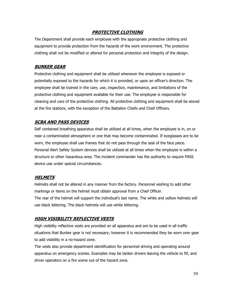## **PROTECTIVE CLOTHING**

The Department shall provide each employee with the appropriate protective clothing and equipment to provide protection from the hazards of the work environment. The protective clothing shall not be modified or altered for personal protection and integrity of the design.

#### **BUNKER GEAR**

Protective clothing and equipment shall be utilized whenever the employee is exposed or potentially exposed to the hazards for which it is provided, or upon an officer's direction. The employee shall be trained in the care, use, inspection, maintenance, and limitations of the protective clothing and equipment available for their use. The employee is responsible for cleaning and care of the protective clothing. All protective clothing and equipment shall be stored at the fire stations, with the exception of the Battalion Chiefs and Chief Officers.

### **SCBA AND PASS DEVICES**

Self contained breathing apparatus shall be utilized at all times, when the employee is in, on or near a contaminated atmosphere or one that may become contaminated. If eyeglasses are to be worn, the employee shall use frames that do not pass through the seal of the face piece. Personal Alert Safety System devices shall be utilized at all times when the employee is within a structure or other hazardous area. The incident commander has the authority to require PASS device use under special circumstances.

### **HELMETS**

Helmets shall not be altered in any manner from the factory. Personnel wishing to add other markings or items on the helmet must obtain approval from a Chief Officer. The rear of the helmet will support the individual's last name. The white and yellow helmets will use black lettering. The black helmets will use white lettering.

### **HIGH VISIBILITY REFLECTIVE VESTS**

High visibility reflective vests are provided on all apparatus and are to be used in all traffic situations that Bunker gear is not necessary; however it is recommended they be worn over gear to add visibility in a no-hazard zone.

The vests also provide department identification for personnel driving and operating around apparatus on emergency scenes. Examples may be tanker drivers leaving the vehicle to fill, and driver operators on a fire scene out of the hazard zone.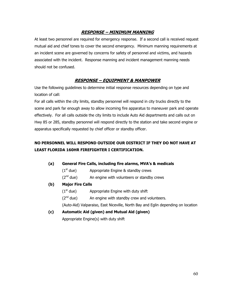# **RESPONSE – MINIMUM MANNING**

At least two personnel are required for emergency response. If a second call is received request mutual aid and chief tones to cover the second emergency. Minimum manning requirements at an incident scene are governed by concerns for safety of personnel and victims, and hazards associated with the incident. Response manning and incident management manning needs should not be confused.

# **RESPONSE – EQUIPMENT & MANPOWER**

Use the following guidelines to determine initial response resources depending on type and location of call:

For all calls within the city limits, standby personnel will respond in city trucks directly to the scene and park far enough away to allow incoming fire apparatus to maneuver park and operate effectively. For all calls outside the city limits to include Auto Aid departments and calls out on Hwy 85 or 285, standby personnel will respond directly to the station and take second engine or apparatus specifically requested by chief officer or standby officer.

# **NO PERSONNEL WILL RESPOND OUTSIDE OUR DISTRICT IF THEY DO NOT HAVE AT LEAST FLORIDA 160HR FIREFIGHTER I CERTIFICATION.**

- **(a) General Fire Calls, including fire alarms, MVA's & medicals** 
	- $(1<sup>st</sup> due)$  Appropriate Engine & standby crews
	- $(2<sup>nd</sup> due)$  An engine with volunteers or standby crews

#### **(b) Major Fire Calls**

- $(1<sup>st</sup> due)$  Appropriate Engine with duty shift
- $(2<sup>nd</sup> due)$  An engine with standby crew and volunteers.

(Auto-Aid) Valparaiso, East Niceville, North Bay and Eglin depending on location

 **(c) Automatic Aid (given) and Mutual Aid (given)** 

Appropriate Engine(s) with duty shift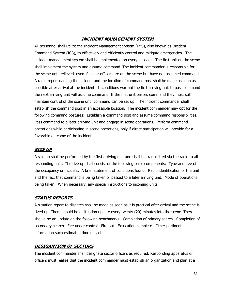## **INCIDENT MANAGEMENT SYSTEM**

All personnel shall utilize the Incident Management System (IMS), also known as Incident Command System (ICS), to effectively and efficiently control and mitigate emergencies. The incident management system shall be implemented on every incident. The first unit on the scene shall implement the system and assume command. The incident commander is responsible for the scene until relieved, even if senior officers are on the scene but have not assumed command. A radio report naming the incident and the location of command post shall be made as soon as possible after arrival at the incident. If conditions warrant the first arriving unit to pass command the next arriving unit will assume command. If the first unit passes command they must still maintain control of the scene until command can be set up. The incident commander shall establish the command post in an accessible location. The incident commander may opt for the following command postures: Establish a command post and assume command responsibilities. Pass command to a later arriving unit and engage in scene operations. Perform command operations while participating in scene operations, only if direct participation will provide for a favorable outcome of the incident.

### **SIZE UP**

A size up shall be performed by the first arriving unit and shall be transmitted via the radio to all responding units. The size up shall consist of the following basic components: Type and size of the occupancy or incident. A brief statement of conditions found. Radio identification of the unit and the fact that command is being taken or passed to a later arriving unit. Mode of operations being taken. When necessary, any special instructions to incoming units.

### **STATUS REPORTS**

A situation report to dispatch shall be made as soon as it is practical after arrival and the scene is sized up. There should be a situation update every twenty (20) minutes into the scene. There should be an update on the following benchmarks: Completion of primary search. Completion of secondary search. Fire under control. Fire out. Extrication complete. Other pertinent information such estimated time out, etc.

### **DESIGANTION OF SECTORS**

The incident commander shall designate sector officers as required. Responding apparatus or officers must realize that the incident commander must establish an organization and plan at a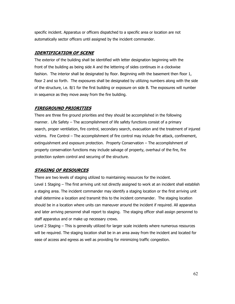specific incident. Apparatus or officers dispatched to a specific area or location are not automatically sector officers until assigned by the incident commander.

### **IDENTIFICATION OF SCENE**

The exterior of the building shall be identified with letter designation beginning with the front of the building as being side A and the lettering of sides continues in a clockwise fashion. The interior shall be designated by floor. Beginning with the basement then floor 1, floor 2 and so forth. The exposures shall be designated by utilizing numbers along with the side of the structure, i.e. B/1 for the first building or exposure on side B. The exposures will number in sequence as they move away from the fire building.

### **FIREGROUND PRIORITIES**

There are three fire ground priorities and they should be accomplished in the following manner. Life Safety – The accomplishment of life safety functions consist of a primary search, proper ventilation, fire control, secondary search, evacuation and the treatment of injured victims. Fire Control – The accomplishment of fire control may include fire attack, confinement, extinguishment and exposure protection. Property Conservation – The accomplishment of property conservation functions may include salvage of property, overhaul of the fire, fire protection system control and securing of the structure.

# **STAGING OF RESOURCES**

There are two levels of staging utilized to maintaining resources for the incident.

Level 1 Staging – The first arriving unit not directly assigned to work at an incident shall establish a staging area. The incident commander may identify a staging location or the first arriving unit shall determine a location and transmit this to the incident commander. The staging location should be in a location where units can maneuver around the incident if required. All apparatus and later arriving personnel shall report to staging. The staging officer shall assign personnel to staff apparatus and or make up necessary crews.

Level 2 Staging – This is generally utilized for larger scale incidents where numerous resources will be required. The staging location shall be in an area away from the incident and located for ease of access and egress as well as providing for minimizing traffic congestion.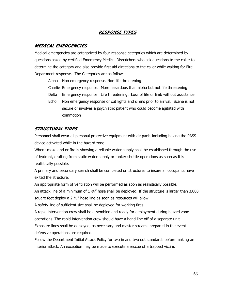## **RESPONSE TYPES**

#### **MEDICAL EMERGENCIES**

Medical emergencies are categorized by four response categories which are determined by questions asked by certified Emergency Medical Dispatchers who ask questions to the caller to determine the category and also provide first aid directions to the caller while waiting for Fire Department response. The Categories are as follows:

Alpha Non emergency response. Non life threatening

- Charlie Emergency response. More hazardous than alpha but not life threatening
- Delta Emergency response. Life threatening. Loss of life or limb without assistance
- Echo Non emergency response or cut lights and sirens prior to arrival. Scene is not secure or involves a psychiatric patient who could become agitated with commotion

### **STRUCTURAL FIRES**

Personnel shall wear all personal protective equipment with air pack, including having the PASS device activated while in the hazard zone.

When smoke and or fire is showing a reliable water supply shall be established through the use of hydrant, drafting from static water supply or tanker shuttle operations as soon as it is realistically possible.

A primary and secondary search shall be completed on structures to insure all occupants have exited the structure.

An appropriate form of ventilation will be performed as soon as realistically possible.

An attack line of a minimum of  $1.34''$  hose shall be deployed. If the structure is larger than 3,000 square feet deploy a 2  $\frac{1}{2}$ " hose line as soon as resources will allow.

A safety line of sufficient size shall be deployed for working fires.

A rapid intervention crew shall be assembled and ready for deployment during hazard zone operations. The rapid intervention crew should have a hand line off of a separate unit.

Exposure lines shall be deployed, as necessary and master streams prepared in the event defensive operations are required.

Follow the Department Initial Attack Policy for two in and two out standards before making an interior attack. An exception may be made to execute a rescue of a trapped victim.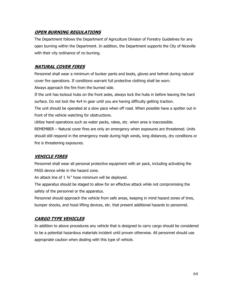### **OPEN BURNING REGULATIONS**

The Department follows the Department of Agriculture Division of Forestry Guidelines for any open burning within the Department. In addition, the Department supports the City of Niceville with their city ordinance of no burning.

### **NATURAL COVER FIRES**

Personnel shall wear a minimum of bunker pants and boots, gloves and helmet during natural cover fire operations. If conditions warrant full protective clothing shall be worn. Always approach the fire from the burned side.

If the unit has lockout hubs on the front axles, always lock the hubs in before leaving the hard

surface. Do not lock the 4x4 in gear until you are having difficulty getting traction.

The unit should be operated at a slow pace when off road. When possible have a spotter out in front of the vehicle watching for obstructions.

Utilize hand operations such as water packs, rakes, etc. when area is inaccessible.

REMEMBER – Natural cover fires are only an emergency when exposures are threatened. Units should still respond in the emergency mode during high winds, long distances, dry conditions or fire is threatening exposures.

# **VEHICLE FIRES**

Personnel shall wear all personal protective equipment with air pack, including activating the PASS device while in the hazard zone.

An attack line of  $1.34''$  hose minimum will be deployed.

The apparatus should be staged to allow for an effective attack while not compromising the safety of the personnel or the apparatus.

Personnel should approach the vehicle from safe areas, keeping in mind hazard zones of tires, bumper shocks, and hood lifting devices, etc. that present additional hazards to personnel.

# **CARGO TYPE VEHICLES**

In addition to above procedures any vehicle that is designed to carry cargo should be considered to be a potential hazardous materials incident until proven otherwise. All personnel should use appropriate caution when dealing with this type of vehicle.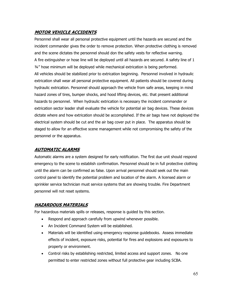### **MOTOR VEHICLE ACCIDENTS**

Personnel shall wear all personal protective equipment until the hazards are secured and the incident commander gives the order to remove protection. When protective clothing is removed and the scene dictates the personnel should don the safety vests for reflective warning. A fire extinguisher or hose line will be deployed until all hazards are secured. A safety line of 1 ¾" hose minimum will be deployed while mechanical extrication is being performed. All vehicles should be stabilized prior to extrication beginning. Personnel involved in hydraulic extrication shall wear all personal protective equipment. All patients should be covered during hydraulic extrication. Personnel should approach the vehicle from safe areas, keeping in mind hazard zones of tires, bumper shocks, and hood lifting devices, etc. that present additional hazards to personnel. When hydraulic extrication is necessary the incident commander or extrication sector leader shall evaluate the vehicle for potential air bag devices. These devices dictate where and how extrication should be accomplished. If the air bags have not deployed the electrical system should be cut and the air bag cover put in place. The apparatus should be staged to allow for an effective scene management while not compromising the safety of the personnel or the apparatus.

#### **AUTOMATIC ALARMS**

Automatic alarms are a system designed for early notification. The first due unit should respond emergency to the scene to establish confirmation. Personnel should be in full protective clothing until the alarm can be confirmed as false. Upon arrival personnel should seek out the main control panel to identify the potential problem and location of the alarm. A licensed alarm or sprinkler service technician must service systems that are showing trouble. Fire Department personnel will not reset systems.

### **HAZARDOUS MATERIALS**

For hazardous materials spills or releases, response is guided by this section.

- Respond and approach carefully from upwind whenever possible.
- An Incident Command System will be established.
- Materials will be identified using emergency response guidebooks. Assess immediate effects of incident, exposure risks, potential for fires and explosions and exposures to property or environment.
- Control risks by establishing restricted, limited access and support zones. No one permitted to enter restricted zones without full protective gear including SCBA.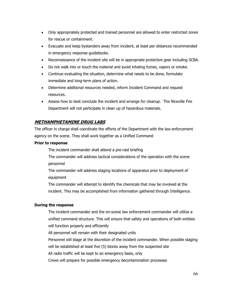- Only appropriately protected and trained personnel are allowed to enter restricted zones for rescue or containment.
- Evacuate and keep bystanders away from incident, at least per distances recommended in emergency response guidebooks.
- Reconnaissance of the incident site will be in appropriate protective gear including SCBA.
- Do not walk into or touch the material and avoid inhaling fumes, vapors or smoke.
- Continue evaluating the situation, determine what needs to be done, formulate immediate and long-term plans of action.
- Determine additional resources needed, inform Incident Command and request resources.
- Assess how to best conclude the incident and arrange for cleanup. The Niceville Fire Department will not participate in clean up of hazardous materials.

# **METHAMPHETAMINE DRUG LABS**

The officer in charge shall coordinate the efforts of the Department with the law enforcement agency on the scene. They shall work together as a Unified Command

#### **Prior to response**

The incident commander shall attend a pre-raid briefing

The commander will address tactical considerations of the operation with the scene personnel

The commander will address staging locations of apparatus prior to deployment of equipment

The commander will attempt to identify the chemicals that may be involved at the incident. This may be accomplished from information gathered through Intelligence.

#### **During the response**

The incident commander and the on-scene law enforcement commander will utilize a unified command structure. This will ensure that safety and operations of both entities will function properly and efficiently

All personnel will remain with their designated units

Personnel will stage at the discretion of the incident commander. When possible staging

will be established at least five (5) blocks away from the suspected site

All radio traffic will be kept to an emergency basis, only

Crews will prepare for possible emergency decontamination processes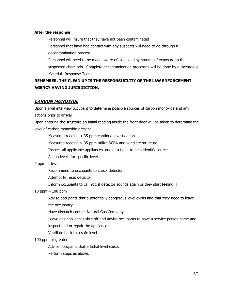#### **After the response**

Personnel will insure that they have not been contaminated Personnel that have had contact with any suspects will need to go through a decontamination process Personnel will need to be made aware of signs and symptoms of exposure to the suspected chemicals. Complete decontamination processes will be done by a Hazardous Materials Response Team

# **REMEMBER, THE CLEAN UP IS THE RESPONSIBILITY OF THE LAW ENFORCEMENT AGENCY HAVING JURISDICTION.**

#### **CARBON MONOXIDE**

Upon arrival interview occupant to determine possible sources of carbon monoxide and any actions prior to arrival Upon entering the structure an initial reading inside the front door will be taken to determine the level of carbon monoxide present

Measured reading < 35 ppm continue investigation

Measured reading > 35 ppm utilize SCBA and ventilate structure

Inspect all applicable appliances, one at a time, to help identify source

Action levels for specific levels

#### 9 ppm or less

Recommend to occupants to check detector

Attempt to reset detector

Inform occupants to call 911 if detector sounds again or they start feeling ill

#### 10 ppm – 100 ppm

Advise occupants that a potentially dangerous level exists and that they need to leave

the occupancy

Have dispatch contact Natural Gas Company

Leave gas appliances shut off and advise occupants to have a service person come and

inspect and or repair the appliance

Ventilate back to a safe level

#### 100 ppm or greater

Advise occupants that a lethal level exists

Perform steps as above.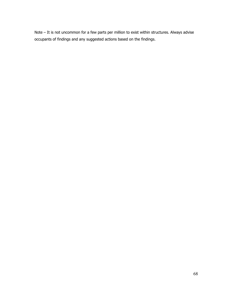Note – It is not uncommon for a few parts per million to exist within structures. Always advise occupants of findings and any suggested actions based on the findings.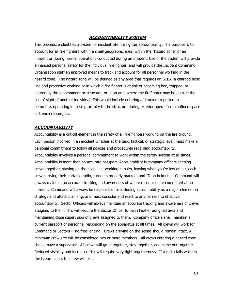#### **ACCOUNTABILITY SYSTEM**

This procedure identifies a system of incident site fire fighter accountability. The purpose is to account for all fire fighters within a small geographic area, within the "hazard zone" of an incident or during normal operations conducted during an incident. Use of the system will provide enhanced personal safety for the individual fire fighter, and will provide the Incident Command Organization staff an improved means to track and account for all personnel working in the hazard zone. The hazard zone will be defined as any area that requires an SCBA, a charged hose line and protective clothing or in which a fire fighter is at risk of becoming lost, trapped, or injured by the environment or structure, or in an area where the firefighter may be outside the line of sight of another individual. This would include entering a structure reported to be on fire, operating in close proximity to the structure during exterior operations, confined space or trench rescue, etc.

#### **ACCOUNTABILITY**

Accountability is a critical element in the safety of all fire fighters working on the fire ground. Each person involved in an incident whether at the task, tactical, or strategic level, must make a personal commitment to follow all policies and procedures regarding accountability. Accountability involves a personal commitment to work within the safety system at all times. Accountability is more than an accurate passport. Accountability is company officers keeping crews together, staying on the hose line, working in pairs, leaving when you're low on air, each crew carrying their portable radio, turnouts properly marked, and ID on helmets. Command will always maintain an accurate tracking and awareness of where resources are committed at an incident. Command will always be responsible for including accountability as a major element in strategy and attack planning, and must consider and react to any barriers to effective accountability. Sector Officers will always maintain an accurate tracking and awareness of crews assigned to them. This will require the Sector Officer to be in his/her assigned area and maintaining close supervision of crews assigned to them. Company officers shall maintain a current passport of personnel responding on the apparatus at all times. All crews will work for Command or Sectors -- no free-lancing. Crews arriving on the scene should remain intact. A minimum crew size will be considered two or more members. All crews entering a hazard zone should have a supervisor. All crews will go in together, stay together, and come out together. Reduced visibility and increased risk will require very tight togetherness. If a radio fails while in the hazard zone, the crew will exit.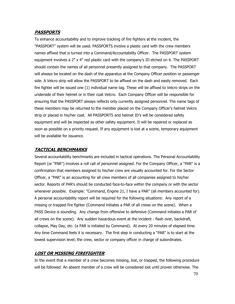#### **PASSPORTS**

To enhance accountability and to improve tracking of fire fighters at the incident, the "PASSPORT" system will be used. PASSPORTS involve a plastic card with the crew members names affixed that is turned into a Command/Accountability Officer. The PASSPORT system equipment involves a 2" x 4" red plastic card with the company's ID etched on it. The PASSPORT should contain the names of all personnel presently assigned to that company. The PASSPORT will always be located on the dash of the apparatus at the Company Officer position or passenger side. A Velcro strip will allow the PASSPORT to be affixed on the dash and easily removed. Each fire fighter will be issued one (1) individual name tag. These will be affixed to Velcro strips on the underside of their helmet or in their coat Velcro. Each Company Officer will be responsible for ensuring that the PASSPORT always reflects only currently assigned personnel. The name tags of these members may be returned to the member placed on the Company Officer's helmet Velcro strip or placed in his/her coat. All PASSPORTS and helmet ID's will be considered safety equipment and will be inspected as other safety equipment. It will be repaired or replaced as soon as possible on a priority request. If any equipment is lost at a scene, temporary equipment will be available for issuance.

#### **TACTICAL BENCHMARKS**

Several accountability benchmarks are included in tactical operations. The Personal Accountability Report (or "PAR") involves a roll call of personnel assigned. For the Company Officer, a "PAR" is a confirmation that members assigned to his/her crew are visually accounted for. For the Sector Officer, a "PAR" is an accounting for all crew members of all companies assigned to his/her sector. Reports of PAR's should be conducted face-to-face within the company or with the sector whenever possible. Example: "Command, Engine 21, I have a PAR" (all members accounted for). A personal accountability report will be required for the following situations: Any report of a missing or trapped fire fighter (Command initiates a PAR of all crews on the scene). When a PASS Device is sounding. Any change from offensive to defensive (Command initiates a PAR of all crews on the scene). Any sudden hazardous event at the incident - flash over, backdraft, collapse, May Day, etc. (a PAR is initiated by Command). At every 20 minutes of elapsed time. Any time Command feels it is necessary. The first step in conducting a "PAR" is to start at the lowest supervision level; the crew, sector or company officer in charge of subordinates.

#### **LOST OR MISSING FIREFIGHTER**

In the event that a member of a crew becomes missing, lost, or trapped, the following procedure will be followed. An absent member of a crew will be considered lost until proven otherwise. The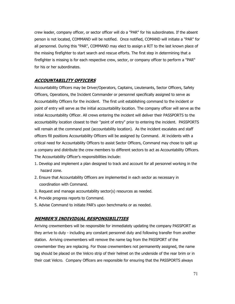crew leader, company officer, or sector officer will do a "PAR" for his subordinates. If the absent person is not located, COMMAND will be notified. Once notified, COMAND will initiate a "PAR" for all personnel. During this "PAR", COMMAND may elect to assign a RIT to the last known place of the missing firefighter to start search and rescue efforts. The first step in determining that a firefighter is missing is for each respective crew, sector, or company officer to perform a "PAR" for his or her subordinates.

#### **ACCOUNTABILITY OFFICERS**

Accountability Officers may be Driver/Operators, Captains, Lieutenants, Sector Officers, Safety Officers, Operations, the Incident Commander or personnel specifically assigned to serve as Accountability Officers for the incident. The first unit establishing command to the incident or point of entry will serve as the initial accountability location. The company officer will serve as the initial Accountability Officer. All crews entering the incident will deliver their PASSPORTS to the accountability location closest to their "point of entry" prior to entering the incident. PASSPORTS will remain at the command post (accountability location). As the incident escalates and staff officers fill positions Accountability Officers will be assigned by Command. At incidents with a critical need for Accountability Officers to assist Sector Officers, Command may chose to split up a company and distribute the crew members to different sectors to act as Accountability Officers. The Accountability Officer's responsibilities include:

- 1. Develop and implement a plan designed to track and account for all personnel working in the hazard zone.
- 2. Ensure that Accountability Officers are implemented in each sector as necessary in coordination with Command.
- 3. Request and manage accountability sector(s) resources as needed.
- 4. Provide progress reports to Command.
- 5. Advise Command to initiate PAR's upon benchmarks or as needed.

#### **MEMBER'S INDIVIDUAL RESPONSIBILITIES**

Arriving crewmembers will be responsible for immediately updating the company PASSPORT as they arrive to duty - including any constant personnel duty and following transfer from another station. Arriving crewmembers will remove the name tag from the PASSPORT of the crewmember they are replacing. For those crewmembers not permanently assigned, the name tag should be placed on the Velcro strip of their helmet on the underside of the rear brim or in their coat Velcro. Company Officers are responsible for ensuring that the PASSPORTS always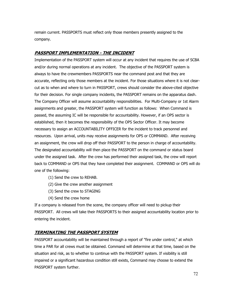remain current. PASSPORTS must reflect only those members presently assigned to the company.

### **PASSPORT IMPLEMENTATION - THE INCIDENT**

Implementation of the PASSPORT system will occur at any incident that requires the use of SCBA and/or during normal operations at any incident. The objective of the PASSPORT system is always to have the crewmembers PASSPORTS near the command post and that they are accurate, reflecting only those members at the incident. For those situations where it is not clearcut as to when and where to turn in PASSPORT, crews should consider the above-cited objective for their decision. For single company incidents, the PASSPORT remains on the apparatus dash. The Company Officer will assume accountability responsibilities. For Multi-Company or 1st Alarm assignments and greater, the PASSPORT system will function as follows: When Command is passed, the assuming IC will be responsible for accountability. However, if an OPS sector is established, then it becomes the responsibility of the OPS Sector Officer. It may become necessary to assign an ACCOUNTABILITY OFFICER for the incident to track personnel and resources. Upon arrival, units may receive assignments for OPS or COMMAND. After receiving an assignment, the crew will drop off their PASSPORT to the person in charge of accountability. The designated accountability will then place the PASSPORT on the command or status board under the assigned task. After the crew has performed their assigned task, the crew will report back to COMMAND or OPS that they have completed their assignment. COMMAND or OPS will do one of the following:

- (1) Send the crew to REHAB.
- (2) Give the crew another assignment
- (3) Send the crew to STAGING
- (4) Send the crew home

If a company is released from the scene, the company officer will need to pickup their PASSPORT. All crews will take their PASSPORTS to their assigned accountability location prior to entering the incident.

#### **TERMINATING THE PASSPORT SYSTEM**

PASSPORT accountability will be maintained through a report of "fire under control," at which time a PAR for all crews must be obtained. Command will determine at that time, based on the situation and risk, as to whether to continue with the PASSPORT system. If visibility is still impaired or a significant hazardous condition still exists, Command may choose to extend the PASSPORT system further.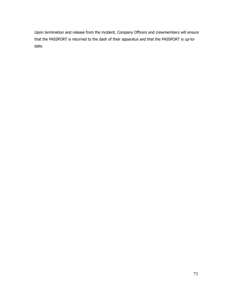Upon termination and release from the incident, Company Officers and crewmembers will ensure that the PASSPORT is returned to the dash of their apparatus and that the PASSPORT is up-todate.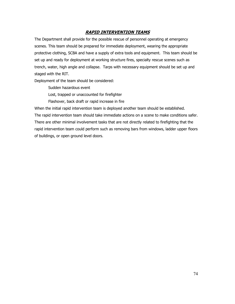# **RAPID INTERVENTION TEAMS**

The Department shall provide for the possible rescue of personnel operating at emergency scenes. This team should be prepared for immediate deployment, wearing the appropriate protective clothing, SCBA and have a supply of extra tools and equipment. This team should be set up and ready for deployment at working structure fires, specialty rescue scenes such as trench, water, high angle and collapse. Tarps with necessary equipment should be set up and staged with the RIT.

Deployment of the team should be considered:

Sudden hazardous event Lost, trapped or unaccounted for firefighter

Flashover, back draft or rapid increase in fire

When the initial rapid intervention team is deployed another team should be established. The rapid intervention team should take immediate actions on a scene to make conditions safer. There are other minimal involvement tasks that are not directly related to firefighting that the rapid intervention team could perform such as removing bars from windows, ladder upper floors of buildings, or open ground level doors.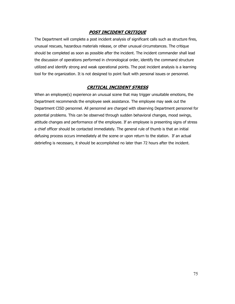# **POST INCIDENT CRITIQUE**

The Department will complete a post incident analysis of significant calls such as structure fires, unusual rescues, hazardous materials release, or other unusual circumstances. The critique should be completed as soon as possible after the incident. The incident commander shall lead the discussion of operations performed in chronological order, identify the command structure utilized and identify strong and weak operational points. The post incident analysis is a learning tool for the organization. It is not designed to point fault with personal issues or personnel.

# **CRITICAL INCIDENT STRESS**

When an employee(s) experience an unusual scene that may trigger unsuitable emotions, the Department recommends the employee seek assistance. The employee may seek out the Department CISD personnel. All personnel are charged with observing Department personnel for potential problems. This can be observed through sudden behavioral changes, mood swings, attitude changes and performance of the employee. If an employee is presenting signs of stress a chief officer should be contacted immediately. The general rule of thumb is that an initial defusing process occurs immediately at the scene or upon return to the station. If an actual debriefing is necessary, it should be accomplished no later than 72 hours after the incident.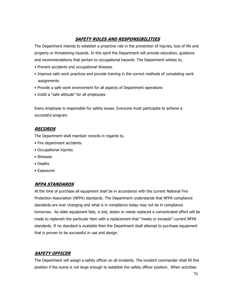# **SAFETY ROLES AND RESPONSIBILITIES**

The Department intends to establish a proactive role in the prevention of injuries, loss of life and property or threatening hazards. In this spirit the Department will provide education, guidance and recommendations that pertain to occupational hazards. The Department wishes to,

- Prevent accidents and occupational illnesses
- Improve safe work practices and provide training in the correct methods of completing work assignments
- Provide a safe work environment for all aspects of Department operations
- Instill a "safe attitude" for all employees

Every employee is responsible for safety issues. Everyone must participate to achieve a successful program.

# **RECORDS**

The Department shall maintain records in regards to,

- Fire department accidents
- Occupational injuries
- Illnesses
- Deaths
- Exposures

# **NFPA STANDARDS**

At the time of purchase all equipment shall be in accordance with the current National Fire Protection Association (NFPA) standards. The Department understands that NFPA compliance standards are ever changing and what is in compliance today may not be in compliance tomorrow. As older equipment fails, is lost, stolen or needs replaced a concentrated effort will be made to replenish the particular item with a replacement that "meets or exceeds" current NFPA standards. If no standard is available then the Department shall attempt to purchase equipment that is proven to be successful in use and design.

# **SAFETY OFFICER**

The Department will assign a safety officer on all incidents. The incident commander shall fill this position if the scene is not large enough to establish the safety officer position. When activities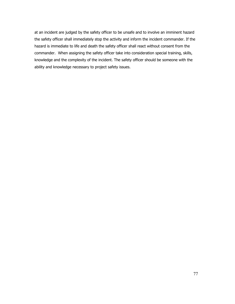at an incident are judged by the safety officer to be unsafe and to involve an imminent hazard the safety officer shall immediately stop the activity and inform the incident commander. If the hazard is immediate to life and death the safety officer shall react without consent from the commander. When assigning the safety officer take into consideration special training, skills, knowledge and the complexity of the incident. The safety officer should be someone with the ability and knowledge necessary to project safety issues.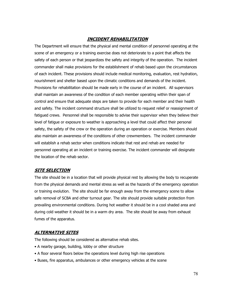# **INCIDENT REHABILITATION**

The Department will ensure that the physical and mental condition of personnel operating at the scene of an emergency or a training exercise does not deteriorate to a point that affects the safety of each person or that jeopardizes the safety and integrity of the operation. The incident commander shall make provisions for the establishment of rehab based upon the circumstances of each incident. These provisions should include medical monitoring, evaluation, rest hydration, nourishment and shelter based upon the climatic conditions and demands of the incident. Provisions for rehabilitation should be made early in the course of an incident. All supervisors shall maintain an awareness of the condition of each member operating within their span of control and ensure that adequate steps are taken to provide for each member and their health and safety. The incident command structure shall be utilized to request relief or reassignment of fatigued crews. Personnel shall be responsible to advise their supervisor when they believe their level of fatigue or exposure to weather is approaching a level that could affect their personal safety, the safety of the crew or the operation during an operation or exercise. Members should also maintain an awareness of the conditions of other crewmembers. The incident commander will establish a rehab sector when conditions indicate that rest and rehab are needed for personnel operating at an incident or training exercise. The incident commander will designate the location of the rehab sector.

# **SITE SELECTION**

The site should be in a location that will provide physical rest by allowing the body to recuperate from the physical demands and mental stress as well as the hazards of the emergency operation or training evolution. The site should be far enough away from the emergency scene to allow safe removal of SCBA and other turnout gear. The site should provide suitable protection from prevailing environmental conditions. During hot weather it should be in a cool shaded area and during cold weather it should be in a warm dry area. The site should be away from exhaust fumes of the apparatus.

# **ALTERNATIVE SITES**

The following should be considered as alternative rehab sites.

- A nearby garage, building, lobby or other structure
- A floor several floors below the operations level during high rise operations
- Buses, fire apparatus, ambulances or other emergency vehicles at the scene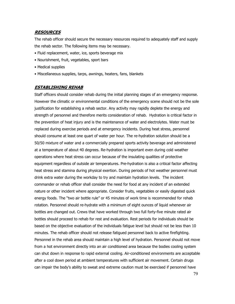## **RESOURCES**

The rehab officer should secure the necessary resources required to adequately staff and supply the rehab sector. The following items may be necessary.

- Fluid replacement, water, ice, sports beverage mix
- Nourishment, fruit, vegetables, sport bars
- Medical supplies
- Miscellaneous supplies, tarps, awnings, heaters, fans, blankets

#### **ESTABLISHING REHAB**

Staff officers should consider rehab during the initial planning stages of an emergency response. However the climatic or environmental conditions of the emergency scene should not be the sole justification for establishing a rehab sector. Any activity may rapidly deplete the energy and strength of personnel and therefore merits consideration of rehab. Hydration is critical factor in the prevention of heat injury and is the maintenance of water and electrolytes. Water must be replaced during exercise periods and at emergency incidents. During heat stress, personnel should consume at least one quart of water per hour. The re-hydration solution should be a 50/50 mixture of water and a commercially prepared sports activity beverage and administered at a temperature of about 40 degrees. Re-hydration is important even during cold weather operations where heat stress can occur because of the insulating qualities of protective equipment regardless of outside air temperatures. Pre-hydration is also a critical factor affecting heat stress and stamina during physical exertion. During periods of hot weather personnel must drink extra water during the workday to try and maintain hydration levels. The incident commander or rehab officer shall consider the need for food at any incident of an extended nature or other incident where appropriate. Consider fruits, vegetables or easily digested quick energy foods. The "two air bottle rule" or 45 minutes of work time is recommended for rehab rotation. Personnel should re-hydrate with a minimum of eight ounces of liquid whenever air bottles are changed out. Crews that have worked through two full forty-five minute rated air bottles should proceed to rehab for rest and evaluation. Rest periods for individuals should be based on the objective evaluation of the individuals fatigue level but should not be less than 10 minutes. The rehab officer should not release fatigued personnel back to active firefighting. Personnel in the rehab area should maintain a high level of hydration. Personnel should not move from a hot environment directly into an air conditioned area because the bodies cooling system can shut down in response to rapid external cooling. Air-conditioned environments are acceptable after a cool down period at ambient temperatures with sufficient air movement. Certain drugs can impair the body's ability to sweat and extreme caution must be exercised if personnel have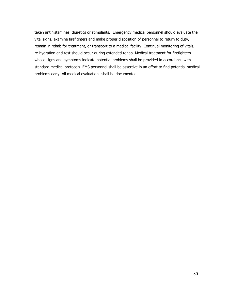taken antihistamines, diuretics or stimulants. Emergency medical personnel should evaluate the vital signs, examine firefighters and make proper disposition of personnel to return to duty, remain in rehab for treatment, or transport to a medical facility. Continual monitoring of vitals, re-hydration and rest should occur during extended rehab. Medical treatment for firefighters whose signs and symptoms indicate potential problems shall be provided in accordance with standard medical protocols. EMS personnel shall be assertive in an effort to find potential medical problems early. All medical evaluations shall be documented.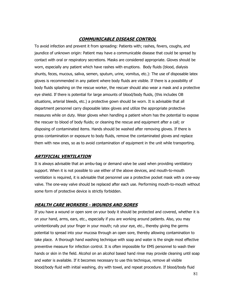# **COMMUNICABLE DISEASE CONTROL**

To avoid infection and prevent it from spreading: Patients with; rashes, fevers, coughs, and jaundice of unknown origin: Patient may have a communicable disease that could be spread by contact with oral or respiratory secretions. Masks are considered appropriate. Gloves should be worn, especially any patient which have rashes with eruptions. Body fluids (blood, dialysis shunts, feces, mucous, saliva, semen, sputum, urine, vomitus, etc.): The use of disposable latex gloves is recommended in any patient where body fluids are visible. If there is a possibility of body fluids splashing on the rescue worker, the rescuer should also wear a mask and a protective eye shield. If there is potential for large amounts of blood/body fluids, (this includes OB situations, arterial bleeds, etc.) a protective gown should be worn. It is advisable that all department personnel carry disposable latex gloves and utilize the appropriate protective measures while on duty. Wear gloves when handling a patient whom has the potential to expose the rescuer to blood of body fluids; or cleaning the rescue and equipment after a call; or disposing of contaminated items. Hands should be washed after removing gloves. If there is gross contamination or exposure to body fluids, remove the contaminated gloves and replace them with new ones, so as to avoid contamination of equipment in the unit while transporting.

# **ARTIFICIAL VENTILATION**

It is always advisable that an ambu-bag or demand valve be used when providing ventilatory support. When it is not possible to use either of the above devices, and mouth-to-mouth ventilation is required, it is advisable that personnel use a protective pocket mask with a one-way valve. The one-way valve should be replaced after each use. Performing mouth-to-mouth without some form of protective device is strictly forbidden.

# **HEALTH CARE WORKERS - WOUNDS AND SORES**

If you have a wound or open sore on your body it should be protected and covered, whether it is on your hand, arms, ears, etc., especially if you are working around patients. Also, you may unintentionally put your finger in your mouth; rub your eye, etc., thereby giving the germs potential to spread into your mucosa through an open sore, thereby allowing contamination to take place. A thorough hand washing technique with soap and water is the single most effective preventive measure for infection control. It is often impossible for EMS personnel to wash their hands or skin in the field. Alcohol on an alcohol based hand rinse may provide cleaning until soap and water is available. If it becomes necessary to use this technique, remove all visible blood/body fluid with initial washing, dry with towel, and repeat procedure. If blood/body fluid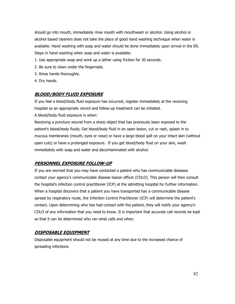should go into mouth, immediately rinse mouth with mouthwash or alcohol. Using alcohol or alcohol based cleaners does not take the place of good hand washing technique when water is available. Hand washing with soap and water should be done immediately upon arrival in the ER. Steps in hand washing when soap and water is available:

- 1. Use appropriate soap and work up a lather using friction for 30 seconds.
- 2. Be sure to clean under the fingernails.
- 3. Rinse hands thoroughly.
- 4. Dry hands.

## **BLOOD/BODY FLUID EXPOSURE**

If you feel a blood/body fluid exposure has occurred, register immediately at the receiving hospital so an appropriate record and follow-up treatment can be initiated.

A blood/body fluid exposure is when:

Receiving a puncture wound from a sharp object that has previously been exposed to the patient's blood/body fluids; Get blood/body fluid in an open lesion, cut or rash, splash in to mucous membranes (mouth, eyes or nose) or have a large blood spill on your intact skin (without open cuts) or have a prolonged exposure. If you get blood/body fluid on your skin, wash immediately with soap and water and decontaminated with alcohol.

# **PERSONNEL EXPOSURE FOLLOW-UP**

If you are worried that you may have contacted a patient who has communicable diseases contact your agency's communicable disease liaison officer (CDLO). This person will then consult the hospital's infection control practitioner (ICP) at the admitting hospital for further information. When a hospital discovers that a patient you have transported has a communicable disease spread by respiratory route, the Infection Control Practitioner (ICP) will determine the patient's contact. Upon determining who has had contact with the patient, they will notify your agency's CDLO of any information that you need to know. It is important that accurate call records be kept so that it can be determined who ran what calls and when.

#### **DISPOSABLE EQUIPMENT**

Disposable equipment should not be reused at any time due to the increased chance of spreading infections.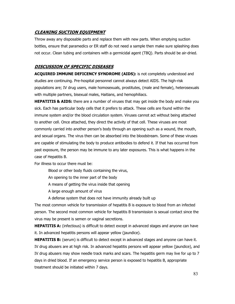## **CLEANING SUCTION EQUIPMENT**

Throw away any disposable parts and replace them with new parts. When emptying suction bottles, ensure that paramedics or ER staff do not need a sample then make sure splashing does not occur. Clean tubing and containers with a germicidal agent (TBQ). Parts should be air-dried.

#### **DISCUSSION OF SPECIFIC DISEASES**

**ACQUIRED IMMUNE DEFICENCY SYNDROME (AIDS):** is not completely understood and studies are continuing. Pre-hospital personnel cannot always detect AIDS. The high-risk populations are; IV drug users, male homosexuals, prostitutes, (male and female), heterosexuals with multiple partners, bisexual males, Haitians, and hemophiliacs.

**HEPATITIS & AIDS:** there are a number of viruses that may get inside the body and make you sick. Each has particular body cells that it prefers to attack. These cells are found within the immune system and/or the blood circulation system. Viruses cannot act without being attached to another cell. Once attached, they direct the activity of that cell. These viruses are most commonly carried into another person's body through an opening such as a wound, the mouth, and sexual organs. The virus then can be absorbed into the bloodstream. Some of these viruses are capable of stimulating the body to produce antibodies to defend it. If that has occurred from past exposure, the person may be immune to any later exposures. This is what happens in the case of Hepatitis B.

For illness to occur there must be:

- Blood or other body fluids containing the virus,
- An opening to the inner part of the body
- A means of getting the virus inside that opening
- A large enough amount of virus
- A defense system that does not have immunity already built up

The most common vehicle for transmission of hepatitis B is exposure to blood from an infected person. The second most common vehicle for hepatitis B transmission is sexual contact since the virus may be present is semen or vaginal secretions.

**HEPATITIS A:** (infectious) is difficult to detect except in advanced stages and anyone can have it. In advanced hepatitis persons will appear yellow (jaundice).

**HEPATITIS B:** (serum) is difficult to detect except in advanced stages and anyone can have it. IV drug abusers are at high risk. In advanced hepatitis persons will appear yellow (jaundice), and IV drug abusers may show needle track marks and scars. The hepatitis germ may live for up to 7 days in dried blood. If an emergency service person is exposed to hepatitis B, appropriate treatment should be initiated within 7 days.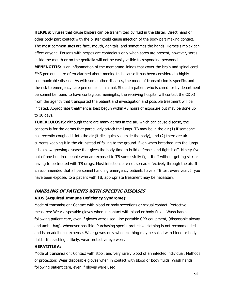**HERPES:** viruses that cause blisters can be transmitted by fluid in the blister. Direct hand or other body part contact with the blister could cause infection of the body part making contact. The most common sites are face, mouth, genitals, and sometimes the hands. Herpes simplex can affect anyone. Persons with herpes are contagious only when sores are present, however, sores inside the mouth or on the genitalia will not be easily visible to responding personnel.

**MENENGITIS:** is an inflammation of the membrane linings that cover the brain and spinal cord. EMS personnel are often alarmed about meningitis because it has been considered a highly communicable disease. As with some other diseases, the mode of transmission is specific, and the risk to emergency care personnel is minimal. Should a patient who is cared for by department personnel be found to have contagious meningitis, the receiving hospital will contact the CDLO from the agency that transported the patient and investigation and possible treatment will be initiated. Appropriate treatment is best begun within 48 hours of exposure but may be done up to 10 days.

**TUBERCULOSIS:** although there are many germs in the air, which can cause disease, the concern is for the germs that particularly attack the lungs. TB may be in the air (1) if someone has recently coughed it into the air (it dies quickly outside the body), and (2) there are air currents keeping it in the air instead of falling to the ground. Even when breathed into the lungs, it is a slow growing disease that gives the body time to build defenses and fight it off. Ninety-five out of one hundred people who are exposed to TB successfully fight it off without getting sick or having to be treated with TB drugs. Most infections are not spread effectively through the air. It is recommended that all personnel handling emergency patients have a TB test every year. If you have been exposed to a patient with TB, appropriate treatment may be necessary.

#### **HANDLING OF PATIENTS WITH SPECIFIC DISEASES**

#### **AIDS (Acquired Immune Deficiency Syndrome):**

Mode of transmission: Contact with blood or body secretions or sexual contact. Protective measures: Wear disposable gloves when in contact with blood or body fluids. Wash hands following patient care, even if gloves were used. Use portable CPR equipment, (disposable airway and ambu-bag), whenever possible. Purchasing special protective clothing is not recommended and is an additional expense. Wear gowns only when clothing may be soiled with blood or body fluids. If splashing is likely, wear protective eye wear.

#### **HEPATITIS A:**

Mode of transmission: Contact with stool, and very rarely blood of an infected individual. Methods of protection: Wear disposable gloves when in contact with blood or body fluids. Wash hands following patient care, even if gloves were used.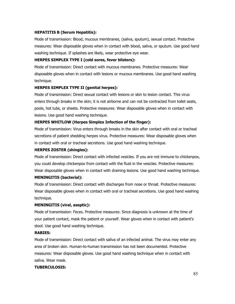#### **HEPATITIS B (Serum Hepatitis):**

Mode of transmission: Blood, mucous membranes, (saliva, sputum), sexual contact. Protective measures: Wear disposable gloves when in contact with blood, saliva, or sputum. Use good hand washing technique. If splashes are likely, wear protective eye wear.

#### **HERPES SIMPLEX TYPE I (cold sores, fever blisters):**

Mode of transmission: Direct contact with mucous membranes. Protective measures: Wear disposable gloves when in contact with lesions or mucous membranes. Use good hand washing technique.

#### **HERPES SIMPLEX TYPE II (genital herpes):**

Mode of transmission: Direct sexual contact with lesions or skin to lesion contact. This virus enters through breaks in the skin; it is not airborne and can not be contracted from toilet seats, pools, hot tubs, or sheets. Protective measures: Wear disposable gloves when in contact with lesions. Use good hand washing technique.

#### **HERPES WHITLOW (Herpes Simplex Infection of the finger):**

Mode of transmission: Virus enters through breaks in the skin after contact with oral or tracheal secretions of patient shedding herpes virus. Protective measures: Wear disposable gloves when in contact with oral or tracheal secretions. Use good hand washing technique.

#### **HERPES ZOSTER (shingles):**

Mode of transmission: Direct contact with infected vesicles. If you are not immune to chickenpox, you could develop chickenpox from contact with the fluid in the vesicles. Protective measures: Wear disposable gloves when in contact with draining lesions. Use good hand washing technique. **MENINGITIS (bacterial):** 

# Mode of transmission: Direct contact with discharges from nose or throat. Protective measures: Wear disposable gloves when in contact with oral or tracheal secretions. Use good hand washing technique.

#### **MENINGITIS (viral, aseptic):**

Mode of transmission: Feces. Protective measures: Since diagnosis is unknown at the time of your patient contact, mask the patient or yourself. Wear gloves when in contact with patient's stool. Use good hand washing technique.

#### **RABIES:**

Mode of transmission: Direct contact with saliva of an infected animal. The virus may enter any area of broken skin. Human-to-human transmission has not been documented. Protective measures: Wear disposable gloves. Use good hand washing technique when in contact with saliva. Wear mask.

#### **TUBERCULOSIS:**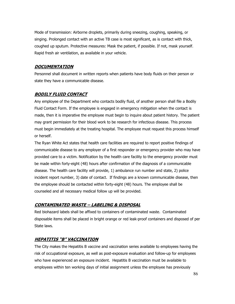Mode of transmission: Airborne droplets, primarily during sneezing, coughing, speaking, or singing. Prolonged contact with an active TB case is most significant, as is contact with thick, coughed up sputum. Protective measures: Mask the patient, if possible. If not, mask yourself. Rapid fresh air ventilation, as available in your vehicle.

#### **DOCUMENTATION**

Personnel shall document in written reports when patients have body fluids on their person or state they have a communicable disease.

## **BODILY FLUID CONTACT**

Any employee of the Department who contacts bodily fluid, of another person shall file a Bodily Fluid Contact Form. If the employee is engaged in emergency mitigation when the contact is made, then it is imperative the employee must begin to inquire about patient history. The patient may grant permission for their blood work to be research for infectious disease. This process must begin immediately at the treating hospital. The employee must request this process himself or herself.

The Ryan White Act states that health care facilities are required to report positive findings of communicable disease to any employer of a first responder or emergency provider who may have provided care to a victim. Notification by the health care facility to the emergency provider must be made within forty-eight (48) hours after confirmation of the diagnosis of a communicable disease. The health care facility will provide, 1) ambulance run number and state, 2) police incident report number, 3) date of contact. If findings are a known communicable disease, then the employee should be contacted within forty-eight (48) hours. The employee shall be counseled and all necessary medical follow up will be provided.

#### **CONTAMINATED WASTE – LABELING & DISPOSAL**

Red biohazard labels shall be affixed to containers of contaminated waste. Contaminated disposable items shall be placed in bright orange or red leak-proof containers and disposed of per State laws.

# **HEPATITIS "B" VACCINATION**

The City makes the Hepatitis B vaccine and vaccination series available to employees having the risk of occupational exposure, as well as post-exposure evaluation and follow-up for employees who have experienced an exposure incident. Hepatitis B vaccination must be available to employees within ten working days of initial assignment unless the employee has previously